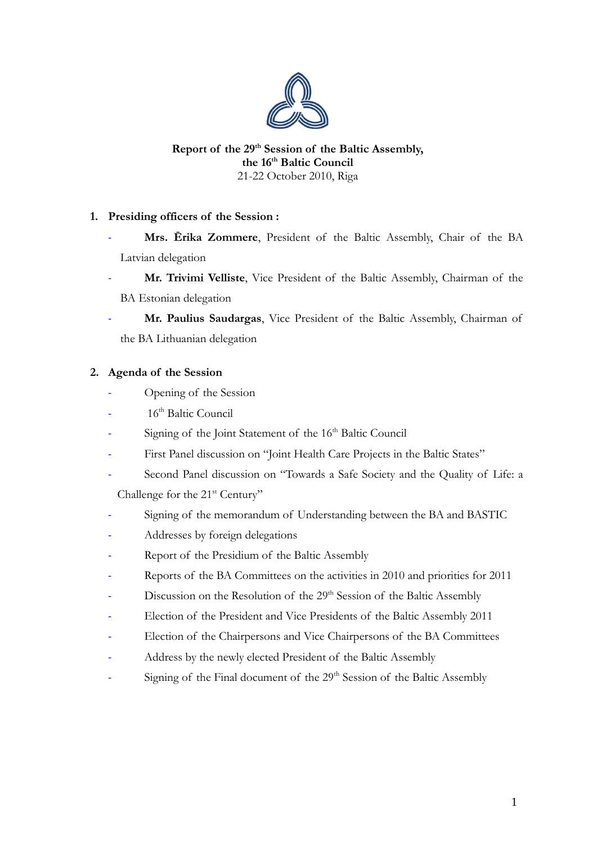

## **Report of the 29th Session of the Baltic Assembly, the 16th Baltic Council** 21-22 October 2010, Riga

# **1. Presiding officers of the Session :**

- **Mrs. Ērika Zommere**, President of the Baltic Assembly, Chair of the BA Latvian delegation
- **Mr. Trivimi Velliste**, Vice President of the Baltic Assembly, Chairman of the BA Estonian delegation
- **Mr. Paulius Saudargas**, Vice President of the Baltic Assembly, Chairman of the BA Lithuanian delegation

# **2. Agenda of the Session**

- Opening of the Session
- 16<sup>th</sup> Baltic Council
- Signing of the Joint Statement of the 16<sup>th</sup> Baltic Council
- First Panel discussion on "Joint Health Care Projects in the Baltic States"
- Second Panel discussion on "Towards a Safe Society and the Quality of Life: a Challenge for the 21<sup>st</sup> Century"
- Signing of the memorandum of Understanding between the BA and BASTIC
- Addresses by foreign delegations
- Report of the Presidium of the Baltic Assembly
- Reports of the BA Committees on the activities in 2010 and priorities for 2011
- Discussion on the Resolution of the 29<sup>th</sup> Session of the Baltic Assembly
- Election of the President and Vice Presidents of the Baltic Assembly 2011
- Election of the Chairpersons and Vice Chairpersons of the BA Committees
- Address by the newly elected President of the Baltic Assembly
- Signing of the Final document of the 29<sup>th</sup> Session of the Baltic Assembly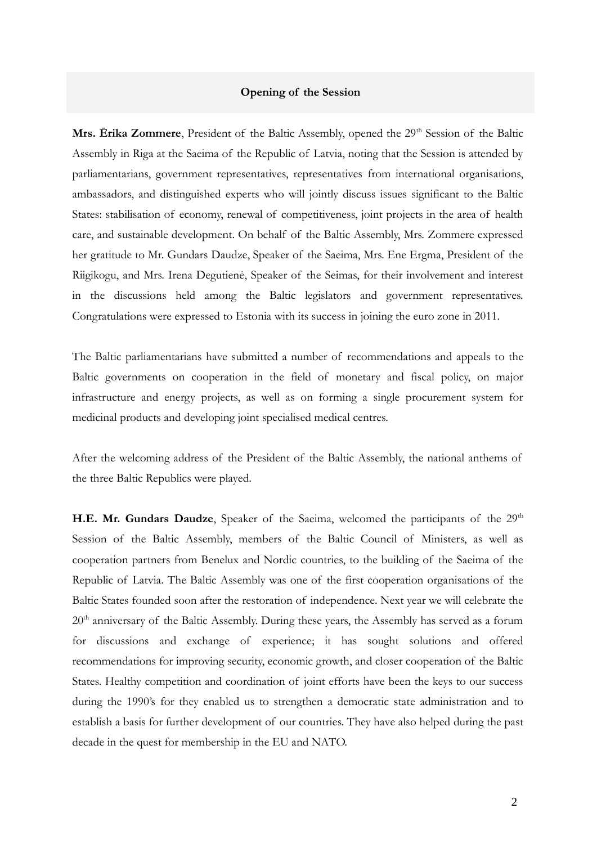## **Opening of the Session**

Mrs. Erika Zommere, President of the Baltic Assembly, opened the 29<sup>th</sup> Session of the Baltic Assembly in Riga at the Saeima of the Republic of Latvia, noting that the Session is attended by parliamentarians, government representatives, representatives from international organisations, ambassadors, and distinguished experts who will jointly discuss issues significant to the Baltic States: stabilisation of economy, renewal of competitiveness, joint projects in the area of health care, and sustainable development. On behalf of the Baltic Assembly, Mrs. Zommere expressed her gratitude to Mr. Gundars Daudze, Speaker of the Saeima, Mrs. Ene Ergma, President of the Riigikogu, and Mrs. Irena Degutienė, Speaker of the Seimas, for their involvement and interest in the discussions held among the Baltic legislators and government representatives. Congratulations were expressed to Estonia with its success in joining the euro zone in 2011.

The Baltic parliamentarians have submitted a number of recommendations and appeals to the Baltic governments on cooperation in the field of monetary and fiscal policy, on major infrastructure and energy projects, as well as on forming a single procurement system for medicinal products and developing joint specialised medical centres.

After the welcoming address of the President of the Baltic Assembly, the national anthems of the three Baltic Republics were played.

H.E. Mr. Gundars Daudze, Speaker of the Saeima, welcomed the participants of the 29<sup>th</sup> Session of the Baltic Assembly, members of the Baltic Council of Ministers, as well as cooperation partners from Benelux and Nordic countries, to the building of the Saeima of the Republic of Latvia. The Baltic Assembly was one of the first cooperation organisations of the Baltic States founded soon after the restoration of independence. Next year we will celebrate the 20<sup>th</sup> anniversary of the Baltic Assembly. During these years, the Assembly has served as a forum for discussions and exchange of experience; it has sought solutions and offered recommendations for improving security, economic growth, and closer cooperation of the Baltic States. Healthy competition and coordination of joint efforts have been the keys to our success during the 1990's for they enabled us to strengthen a democratic state administration and to establish a basis for further development of our countries. They have also helped during the past decade in the quest for membership in the EU and NATO.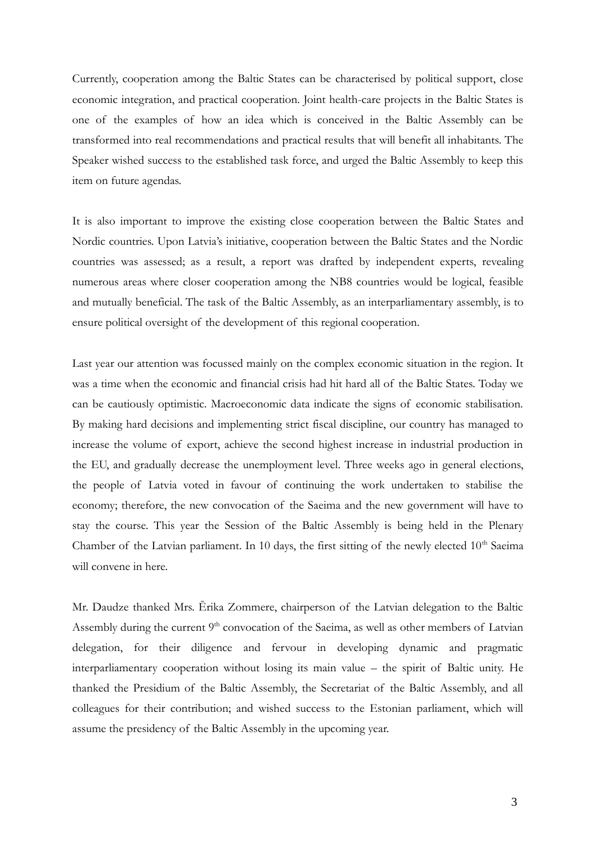Currently, cooperation among the Baltic States can be characterised by political support, close economic integration, and practical cooperation. Joint health-care projects in the Baltic States is one of the examples of how an idea which is conceived in the Baltic Assembly can be transformed into real recommendations and practical results that will benefit all inhabitants. The Speaker wished success to the established task force, and urged the Baltic Assembly to keep this item on future agendas.

It is also important to improve the existing close cooperation between the Baltic States and Nordic countries. Upon Latvia's initiative, cooperation between the Baltic States and the Nordic countries was assessed; as a result, a report was drafted by independent experts, revealing numerous areas where closer cooperation among the NB8 countries would be logical, feasible and mutually beneficial. The task of the Baltic Assembly, as an interparliamentary assembly, is to ensure political oversight of the development of this regional cooperation.

Last year our attention was focussed mainly on the complex economic situation in the region. It was a time when the economic and financial crisis had hit hard all of the Baltic States. Today we can be cautiously optimistic. Macroeconomic data indicate the signs of economic stabilisation. By making hard decisions and implementing strict fiscal discipline, our country has managed to increase the volume of export, achieve the second highest increase in industrial production in the EU, and gradually decrease the unemployment level. Three weeks ago in general elections, the people of Latvia voted in favour of continuing the work undertaken to stabilise the economy; therefore, the new convocation of the Saeima and the new government will have to stay the course. This year the Session of the Baltic Assembly is being held in the Plenary Chamber of the Latvian parliament. In 10 days, the first sitting of the newly elected  $10<sup>th</sup>$  Saeima will convene in here.

Mr. Daudze thanked Mrs. Ērika Zommere, chairperson of the Latvian delegation to the Baltic Assembly during the current 9<sup>th</sup> convocation of the Saeima, as well as other members of Latvian delegation, for their diligence and fervour in developing dynamic and pragmatic interparliamentary cooperation without losing its main value – the spirit of Baltic unity. He thanked the Presidium of the Baltic Assembly, the Secretariat of the Baltic Assembly, and all colleagues for their contribution; and wished success to the Estonian parliament, which will assume the presidency of the Baltic Assembly in the upcoming year.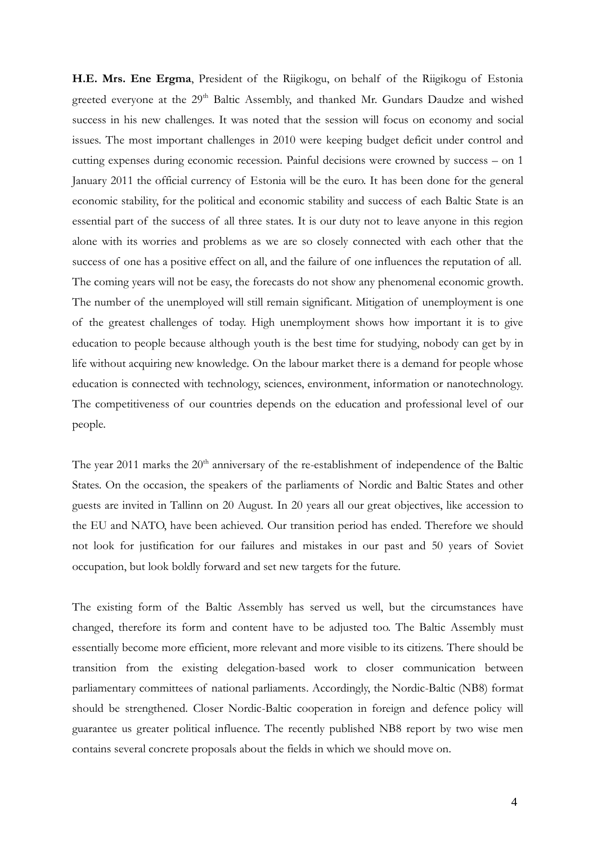**H.E. Mrs. Ene Ergma**, President of the Riigikogu, on behalf of the Riigikogu of Estonia greeted everyone at the 29<sup>th</sup> Baltic Assembly, and thanked Mr. Gundars Daudze and wished success in his new challenges. It was noted that the session will focus on economy and social issues. The most important challenges in 2010 were keeping budget deficit under control and cutting expenses during economic recession. Painful decisions were crowned by success – on 1 January 2011 the official currency of Estonia will be the euro. It has been done for the general economic stability, for the political and economic stability and success of each Baltic State is an essential part of the success of all three states. It is our duty not to leave anyone in this region alone with its worries and problems as we are so closely connected with each other that the success of one has a positive effect on all, and the failure of one influences the reputation of all. The coming years will not be easy, the forecasts do not show any phenomenal economic growth. The number of the unemployed will still remain significant. Mitigation of unemployment is one of the greatest challenges of today. High unemployment shows how important it is to give education to people because although youth is the best time for studying, nobody can get by in life without acquiring new knowledge. On the labour market there is a demand for people whose education is connected with technology, sciences, environment, information or nanotechnology. The competitiveness of our countries depends on the education and professional level of our people.

The year 2011 marks the  $20<sup>th</sup>$  anniversary of the re-establishment of independence of the Baltic States. On the occasion, the speakers of the parliaments of Nordic and Baltic States and other guests are invited in Tallinn on 20 August. In 20 years all our great objectives, like accession to the EU and NATO, have been achieved. Our transition period has ended. Therefore we should not look for justification for our failures and mistakes in our past and 50 years of Soviet occupation, but look boldly forward and set new targets for the future.

The existing form of the Baltic Assembly has served us well, but the circumstances have changed, therefore its form and content have to be adjusted too. The Baltic Assembly must essentially become more efficient, more relevant and more visible to its citizens. There should be transition from the existing delegation-based work to closer communication between parliamentary committees of national parliaments. Accordingly, the Nordic-Baltic (NB8) format should be strengthened. Closer Nordic-Baltic cooperation in foreign and defence policy will guarantee us greater political influence. The recently published NB8 report by two wise men contains several concrete proposals about the fields in which we should move on.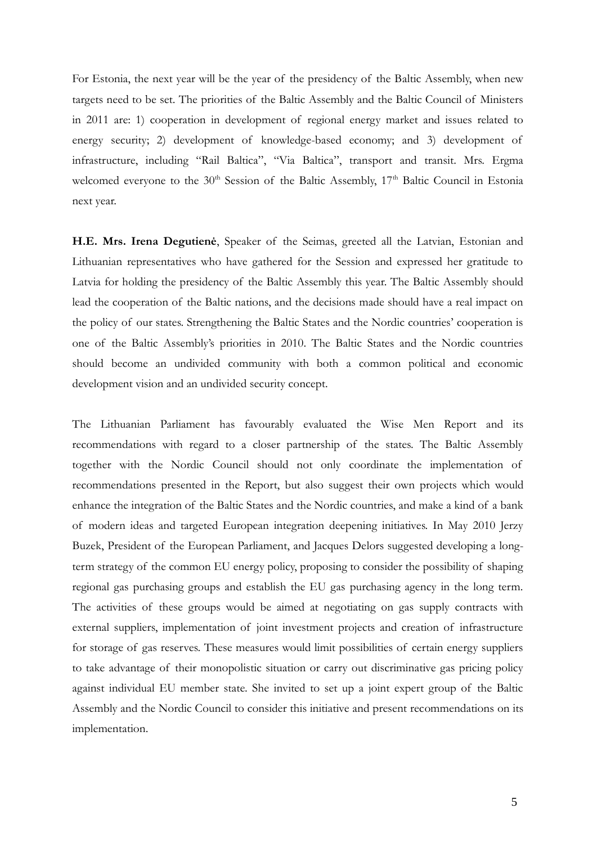For Estonia, the next year will be the year of the presidency of the Baltic Assembly, when new targets need to be set. The priorities of the Baltic Assembly and the Baltic Council of Ministers in 2011 are: 1) cooperation in development of regional energy market and issues related to energy security; 2) development of knowledge-based economy; and 3) development of infrastructure, including "Rail Baltica", "Via Baltica", transport and transit. Mrs. Ergma welcomed everyone to the 30<sup>th</sup> Session of the Baltic Assembly, 17<sup>th</sup> Baltic Council in Estonia next year.

**H.E. Mrs. Irena Degutienė**, Speaker of the Seimas, greeted all the Latvian, Estonian and Lithuanian representatives who have gathered for the Session and expressed her gratitude to Latvia for holding the presidency of the Baltic Assembly this year. The Baltic Assembly should lead the cooperation of the Baltic nations, and the decisions made should have a real impact on the policy of our states. Strengthening the Baltic States and the Nordic countries' cooperation is one of the Baltic Assembly's priorities in 2010. The Baltic States and the Nordic countries should become an undivided community with both a common political and economic development vision and an undivided security concept.

The Lithuanian Parliament has favourably evaluated the Wise Men Report and its recommendations with regard to a closer partnership of the states. The Baltic Assembly together with the Nordic Council should not only coordinate the implementation of recommendations presented in the Report, but also suggest their own projects which would enhance the integration of the Baltic States and the Nordic countries, and make a kind of a bank of modern ideas and targeted European integration deepening initiatives. In May 2010 Jerzy Buzek, President of the European Parliament, and Jacques Delors suggested developing a longterm strategy of the common EU energy policy, proposing to consider the possibility of shaping regional gas purchasing groups and establish the EU gas purchasing agency in the long term. The activities of these groups would be aimed at negotiating on gas supply contracts with external suppliers, implementation of joint investment projects and creation of infrastructure for storage of gas reserves. These measures would limit possibilities of certain energy suppliers to take advantage of their monopolistic situation or carry out discriminative gas pricing policy against individual EU member state. She invited to set up a joint expert group of the Baltic Assembly and the Nordic Council to consider this initiative and present recommendations on its implementation.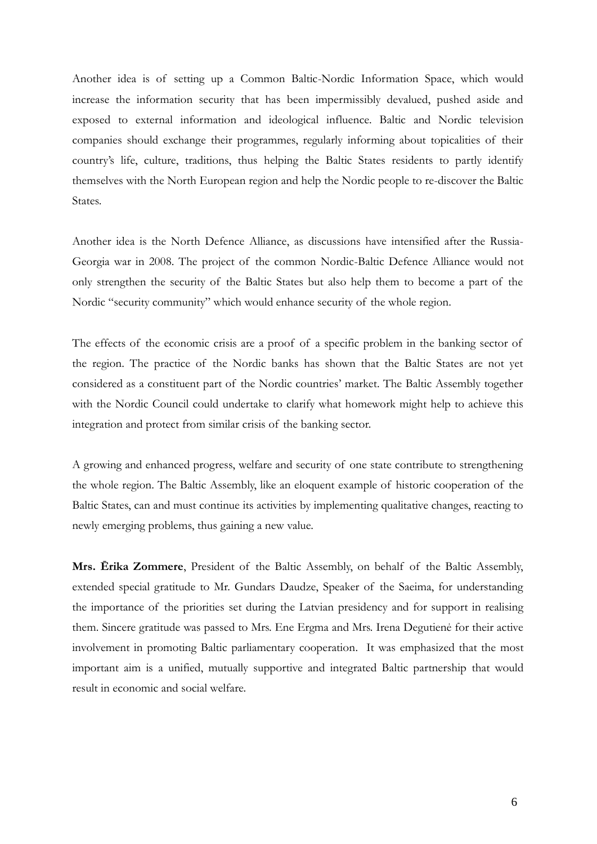Another idea is of setting up a Common Baltic-Nordic Information Space, which would increase the information security that has been impermissibly devalued, pushed aside and exposed to external information and ideological influence. Baltic and Nordic television companies should exchange their programmes, regularly informing about topicalities of their country's life, culture, traditions, thus helping the Baltic States residents to partly identify themselves with the North European region and help the Nordic people to re-discover the Baltic States.

Another idea is the North Defence Alliance, as discussions have intensified after the Russia-Georgia war in 2008. The project of the common Nordic-Baltic Defence Alliance would not only strengthen the security of the Baltic States but also help them to become a part of the Nordic "security community" which would enhance security of the whole region.

The effects of the economic crisis are a proof of a specific problem in the banking sector of the region. The practice of the Nordic banks has shown that the Baltic States are not yet considered as a constituent part of the Nordic countries' market. The Baltic Assembly together with the Nordic Council could undertake to clarify what homework might help to achieve this integration and protect from similar crisis of the banking sector.

A growing and enhanced progress, welfare and security of one state contribute to strengthening the whole region. The Baltic Assembly, like an eloquent example of historic cooperation of the Baltic States, can and must continue its activities by implementing qualitative changes, reacting to newly emerging problems, thus gaining a new value.

**Mrs. Ērika Zommere**, President of the Baltic Assembly, on behalf of the Baltic Assembly, extended special gratitude to Mr. Gundars Daudze, Speaker of the Saeima, for understanding the importance of the priorities set during the Latvian presidency and for support in realising them. Sincere gratitude was passed to Mrs. Ene Ergma and Mrs. Irena Degutienė for their active involvement in promoting Baltic parliamentary cooperation. It was emphasized that the most important aim is a unified, mutually supportive and integrated Baltic partnership that would result in economic and social welfare.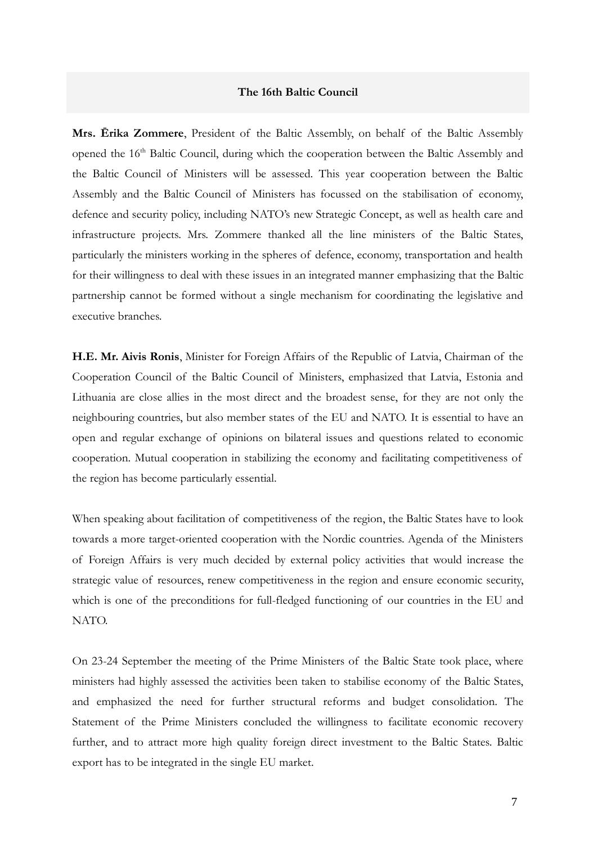## **The 16th Baltic Council**

**Mrs. Ērika Zommere**, President of the Baltic Assembly, on behalf of the Baltic Assembly opened the 16<sup>th</sup> Baltic Council, during which the cooperation between the Baltic Assembly and the Baltic Council of Ministers will be assessed. This year cooperation between the Baltic Assembly and the Baltic Council of Ministers has focussed on the stabilisation of economy, defence and security policy, including NATO's new Strategic Concept, as well as health care and infrastructure projects. Mrs. Zommere thanked all the line ministers of the Baltic States, particularly the ministers working in the spheres of defence, economy, transportation and health for their willingness to deal with these issues in an integrated manner emphasizing that the Baltic partnership cannot be formed without a single mechanism for coordinating the legislative and executive branches.

**H.E. Mr. Aivis Ronis**, Minister for Foreign Affairs of the Republic of Latvia, Chairman of the Cooperation Council of the Baltic Council of Ministers, emphasized that Latvia, Estonia and Lithuania are close allies in the most direct and the broadest sense, for they are not only the neighbouring countries, but also member states of the EU and NATO. It is essential to have an open and regular exchange of opinions on bilateral issues and questions related to economic cooperation. Mutual cooperation in stabilizing the economy and facilitating competitiveness of the region has become particularly essential.

When speaking about facilitation of competitiveness of the region, the Baltic States have to look towards a more target-oriented cooperation with the Nordic countries. Agenda of the Ministers of Foreign Affairs is very much decided by external policy activities that would increase the strategic value of resources, renew competitiveness in the region and ensure economic security, which is one of the preconditions for full-fledged functioning of our countries in the EU and NATO.

On 23-24 September the meeting of the Prime Ministers of the Baltic State took place, where ministers had highly assessed the activities been taken to stabilise economy of the Baltic States, and emphasized the need for further structural reforms and budget consolidation. The Statement of the Prime Ministers concluded the willingness to facilitate economic recovery further, and to attract more high quality foreign direct investment to the Baltic States. Baltic export has to be integrated in the single EU market.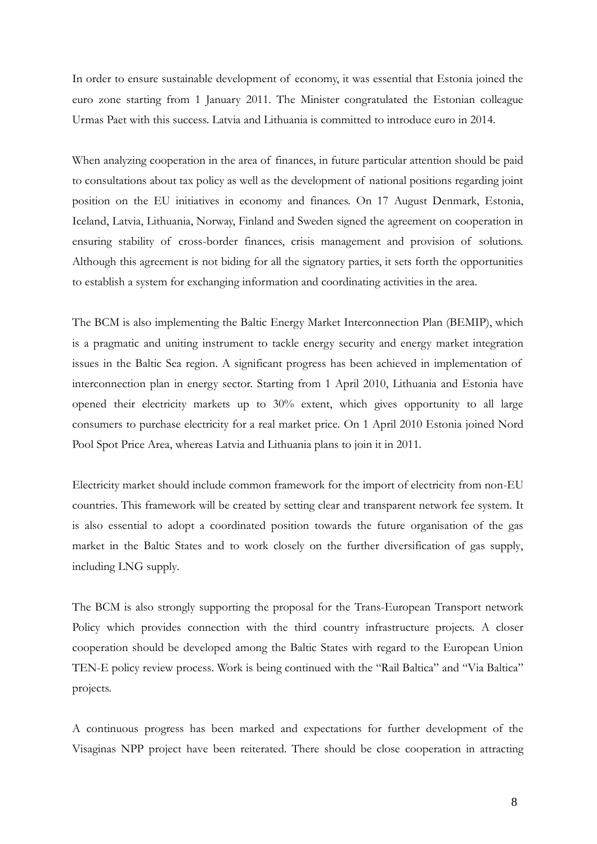In order to ensure sustainable development of economy, it was essential that Estonia joined the euro zone starting from 1 January 2011. The Minister congratulated the Estonian colleague Urmas Paet with this success. Latvia and Lithuania is committed to introduce euro in 2014.

When analyzing cooperation in the area of finances, in future particular attention should be paid to consultations about tax policy as well as the development of national positions regarding joint position on the EU initiatives in economy and finances. On 17 August Denmark, Estonia, Iceland, Latvia, Lithuania, Norway, Finland and Sweden signed the agreement on cooperation in ensuring stability of cross-border finances, crisis management and provision of solutions. Although this agreement is not biding for all the signatory parties, it sets forth the opportunities to establish a system for exchanging information and coordinating activities in the area.

The BCM is also implementing the Baltic Energy Market Interconnection Plan (BEMIP), which is a pragmatic and uniting instrument to tackle energy security and energy market integration issues in the Baltic Sea region. A significant progress has been achieved in implementation of interconnection plan in energy sector. Starting from 1 April 2010, Lithuania and Estonia have opened their electricity markets up to 30% extent, which gives opportunity to all large consumers to purchase electricity for a real market price. On 1 April 2010 Estonia joined Nord Pool Spot Price Area, whereas Latvia and Lithuania plans to join it in 2011.

Electricity market should include common framework for the import of electricity from non-EU countries. This framework will be created by setting clear and transparent network fee system. It is also essential to adopt a coordinated position towards the future organisation of the gas market in the Baltic States and to work closely on the further diversification of gas supply, including LNG supply.

The BCM is also strongly supporting the proposal for the Trans-European Transport network Policy which provides connection with the third country infrastructure projects. A closer cooperation should be developed among the Baltic States with regard to the European Union TEN-E policy review process. Work is being continued with the "Rail Baltica" and "Via Baltica" projects.

A continuous progress has been marked and expectations for further development of the Visaginas NPP project have been reiterated. There should be close cooperation in attracting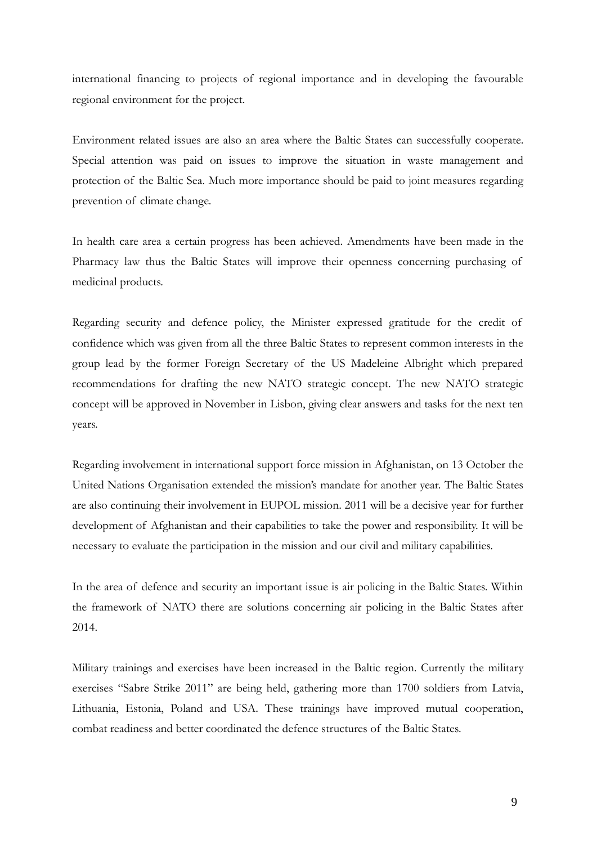international financing to projects of regional importance and in developing the favourable regional environment for the project.

Environment related issues are also an area where the Baltic States can successfully cooperate. Special attention was paid on issues to improve the situation in waste management and protection of the Baltic Sea. Much more importance should be paid to joint measures regarding prevention of climate change.

In health care area a certain progress has been achieved. Amendments have been made in the Pharmacy law thus the Baltic States will improve their openness concerning purchasing of medicinal products.

Regarding security and defence policy, the Minister expressed gratitude for the credit of confidence which was given from all the three Baltic States to represent common interests in the group lead by the former Foreign Secretary of the US Madeleine Albright which prepared recommendations for drafting the new NATO strategic concept. The new NATO strategic concept will be approved in November in Lisbon, giving clear answers and tasks for the next ten years.

Regarding involvement in international support force mission in Afghanistan, on 13 October the United Nations Organisation extended the mission's mandate for another year. The Baltic States are also continuing their involvement in EUPOL mission. 2011 will be a decisive year for further development of Afghanistan and their capabilities to take the power and responsibility. It will be necessary to evaluate the participation in the mission and our civil and military capabilities.

In the area of defence and security an important issue is air policing in the Baltic States. Within the framework of NATO there are solutions concerning air policing in the Baltic States after 2014.

Military trainings and exercises have been increased in the Baltic region. Currently the military exercises "Sabre Strike 2011" are being held, gathering more than 1700 soldiers from Latvia, Lithuania, Estonia, Poland and USA. These trainings have improved mutual cooperation, combat readiness and better coordinated the defence structures of the Baltic States.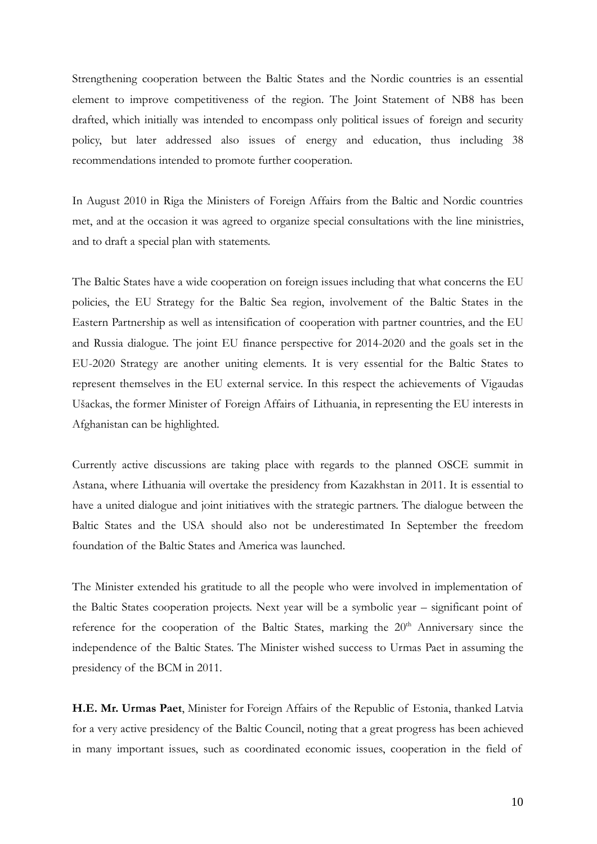Strengthening cooperation between the Baltic States and the Nordic countries is an essential element to improve competitiveness of the region. The Joint Statement of NB8 has been drafted, which initially was intended to encompass only political issues of foreign and security policy, but later addressed also issues of energy and education, thus including 38 recommendations intended to promote further cooperation.

In August 2010 in Riga the Ministers of Foreign Affairs from the Baltic and Nordic countries met, and at the occasion it was agreed to organize special consultations with the line ministries, and to draft a special plan with statements.

The Baltic States have a wide cooperation on foreign issues including that what concerns the EU policies, the EU Strategy for the Baltic Sea region, involvement of the Baltic States in the Eastern Partnership as well as intensification of cooperation with partner countries, and the EU and Russia dialogue. The joint EU finance perspective for 2014-2020 and the goals set in the EU-2020 Strategy are another uniting elements. It is very essential for the Baltic States to represent themselves in the EU external service. In this respect the achievements of Vigaudas Ušackas, the former Minister of Foreign Affairs of Lithuania, in representing the EU interests in Afghanistan can be highlighted.

Currently active discussions are taking place with regards to the planned OSCE summit in Astana, where Lithuania will overtake the presidency from Kazakhstan in 2011. It is essential to have a united dialogue and joint initiatives with the strategic partners. The dialogue between the Baltic States and the USA should also not be underestimated In September the freedom foundation of the Baltic States and America was launched.

The Minister extended his gratitude to all the people who were involved in implementation of the Baltic States cooperation projects. Next year will be a symbolic year – significant point of reference for the cooperation of the Baltic States, marking the 20<sup>th</sup> Anniversary since the independence of the Baltic States. The Minister wished success to Urmas Paet in assuming the presidency of the BCM in 2011.

**H.E. Mr. Urmas Paet**, Minister for Foreign Affairs of the Republic of Estonia, thanked Latvia for a very active presidency of the Baltic Council, noting that a great progress has been achieved in many important issues, such as coordinated economic issues, cooperation in the field of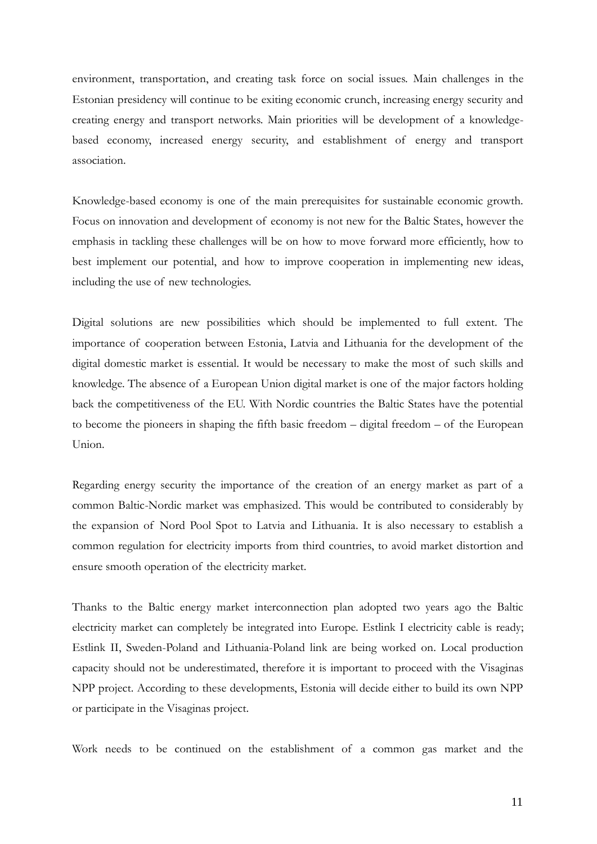environment, transportation, and creating task force on social issues. Main challenges in the Estonian presidency will continue to be exiting economic crunch, increasing energy security and creating energy and transport networks. Main priorities will be development of a knowledgebased economy, increased energy security, and establishment of energy and transport association.

Knowledge-based economy is one of the main prerequisites for sustainable economic growth. Focus on innovation and development of economy is not new for the Baltic States, however the emphasis in tackling these challenges will be on how to move forward more efficiently, how to best implement our potential, and how to improve cooperation in implementing new ideas, including the use of new technologies.

Digital solutions are new possibilities which should be implemented to full extent. The importance of cooperation between Estonia, Latvia and Lithuania for the development of the digital domestic market is essential. It would be necessary to make the most of such skills and knowledge. The absence of a European Union digital market is one of the major factors holding back the competitiveness of the EU. With Nordic countries the Baltic States have the potential to become the pioneers in shaping the fifth basic freedom – digital freedom – of the European Union.

Regarding energy security the importance of the creation of an energy market as part of a common Baltic-Nordic market was emphasized. This would be contributed to considerably by the expansion of Nord Pool Spot to Latvia and Lithuania. It is also necessary to establish a common regulation for electricity imports from third countries, to avoid market distortion and ensure smooth operation of the electricity market.

Thanks to the Baltic energy market interconnection plan adopted two years ago the Baltic electricity market can completely be integrated into Europe. Estlink I electricity cable is ready; Estlink II, Sweden-Poland and Lithuania-Poland link are being worked on. Local production capacity should not be underestimated, therefore it is important to proceed with the Visaginas NPP project. According to these developments, Estonia will decide either to build its own NPP or participate in the Visaginas project.

Work needs to be continued on the establishment of a common gas market and the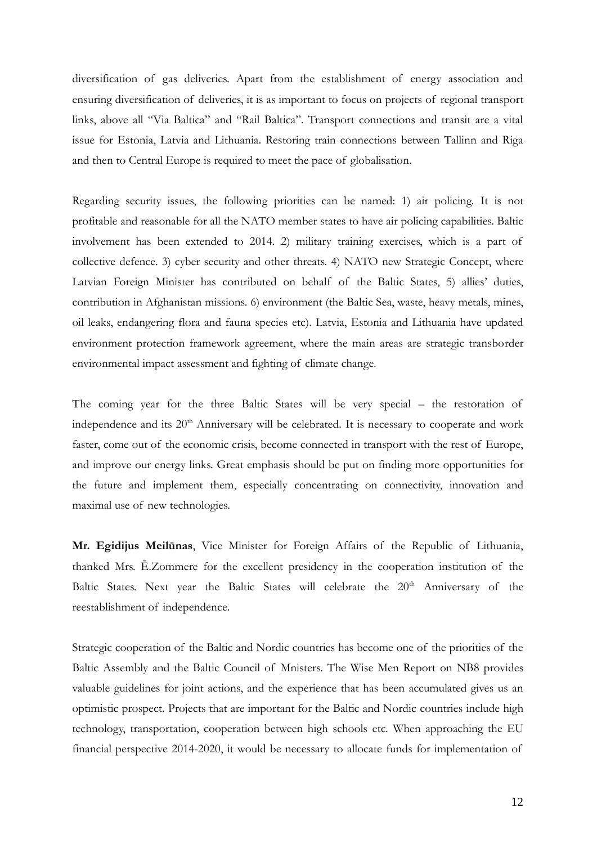diversification of gas deliveries. Apart from the establishment of energy association and ensuring diversification of deliveries, it is as important to focus on projects of regional transport links, above all "Via Baltica" and "Rail Baltica". Transport connections and transit are a vital issue for Estonia, Latvia and Lithuania. Restoring train connections between Tallinn and Riga and then to Central Europe is required to meet the pace of globalisation.

Regarding security issues, the following priorities can be named: 1) air policing. It is not profitable and reasonable for all the NATO member states to have air policing capabilities. Baltic involvement has been extended to 2014. 2) military training exercises, which is a part of collective defence. 3) cyber security and other threats. 4) NATO new Strategic Concept, where Latvian Foreign Minister has contributed on behalf of the Baltic States, 5) allies' duties, contribution in Afghanistan missions. 6) environment (the Baltic Sea, waste, heavy metals, mines, oil leaks, endangering flora and fauna species etc). Latvia, Estonia and Lithuania have updated environment protection framework agreement, where the main areas are strategic transborder environmental impact assessment and fighting of climate change.

The coming year for the three Baltic States will be very special – the restoration of independence and its 20<sup>th</sup> Anniversary will be celebrated. It is necessary to cooperate and work faster, come out of the economic crisis, become connected in transport with the rest of Europe, and improve our energy links. Great emphasis should be put on finding more opportunities for the future and implement them, especially concentrating on connectivity, innovation and maximal use of new technologies.

**Mr. Egidijus Meilūnas**, Vice Minister for Foreign Affairs of the Republic of Lithuania, thanked Mrs. Ē.Zommere for the excellent presidency in the cooperation institution of the Baltic States. Next year the Baltic States will celebrate the 20<sup>th</sup> Anniversary of the reestablishment of independence.

Strategic cooperation of the Baltic and Nordic countries has become one of the priorities of the Baltic Assembly and the Baltic Council of Mnisters. The Wise Men Report on NB8 provides valuable guidelines for joint actions, and the experience that has been accumulated gives us an optimistic prospect. Projects that are important for the Baltic and Nordic countries include high technology, transportation, cooperation between high schools etc. When approaching the EU financial perspective 2014-2020, it would be necessary to allocate funds for implementation of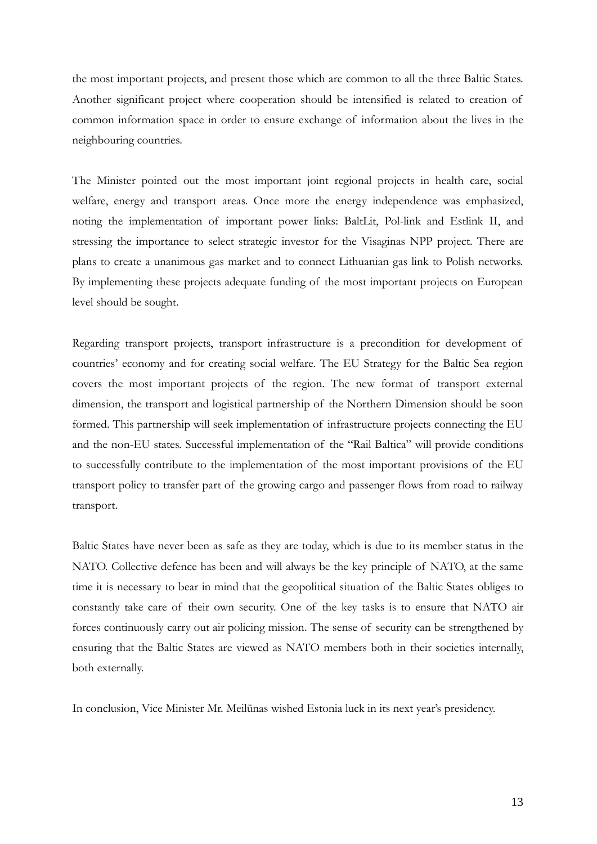the most important projects, and present those which are common to all the three Baltic States. Another significant project where cooperation should be intensified is related to creation of common information space in order to ensure exchange of information about the lives in the neighbouring countries.

The Minister pointed out the most important joint regional projects in health care, social welfare, energy and transport areas. Once more the energy independence was emphasized, noting the implementation of important power links: BaltLit, Pol-link and Estlink II, and stressing the importance to select strategic investor for the Visaginas NPP project. There are plans to create a unanimous gas market and to connect Lithuanian gas link to Polish networks. By implementing these projects adequate funding of the most important projects on European level should be sought.

Regarding transport projects, transport infrastructure is a precondition for development of countries' economy and for creating social welfare. The EU Strategy for the Baltic Sea region covers the most important projects of the region. The new format of transport external dimension, the transport and logistical partnership of the Northern Dimension should be soon formed. This partnership will seek implementation of infrastructure projects connecting the EU and the non-EU states. Successful implementation of the "Rail Baltica" will provide conditions to successfully contribute to the implementation of the most important provisions of the EU transport policy to transfer part of the growing cargo and passenger flows from road to railway transport.

Baltic States have never been as safe as they are today, which is due to its member status in the NATO. Collective defence has been and will always be the key principle of NATO, at the same time it is necessary to bear in mind that the geopolitical situation of the Baltic States obliges to constantly take care of their own security. One of the key tasks is to ensure that NATO air forces continuously carry out air policing mission. The sense of security can be strengthened by ensuring that the Baltic States are viewed as NATO members both in their societies internally, both externally.

In conclusion, Vice Minister Mr. Meilūnas wished Estonia luck in its next year's presidency.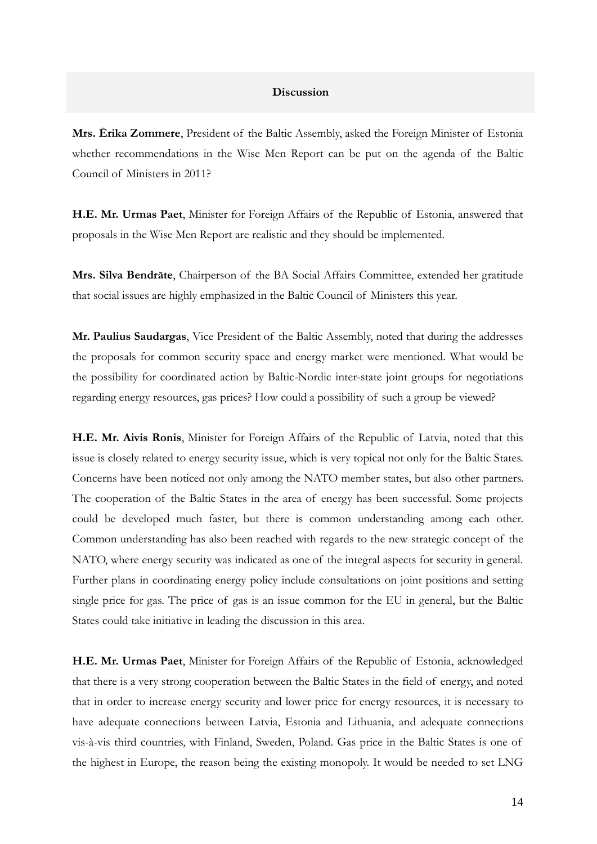## **Discussion**

**Mrs. Ērika Zommere**, President of the Baltic Assembly, asked the Foreign Minister of Estonia whether recommendations in the Wise Men Report can be put on the agenda of the Baltic Council of Ministers in 2011?

**H.E. Mr. Urmas Paet**, Minister for Foreign Affairs of the Republic of Estonia, answered that proposals in the Wise Men Report are realistic and they should be implemented.

**Mrs. Silva Bendrāte**, Chairperson of the BA Social Affairs Committee, extended her gratitude that social issues are highly emphasized in the Baltic Council of Ministers this year.

**Mr. Paulius Saudargas**, Vice President of the Baltic Assembly, noted that during the addresses the proposals for common security space and energy market were mentioned. What would be the possibility for coordinated action by Baltic-Nordic inter-state joint groups for negotiations regarding energy resources, gas prices? How could a possibility of such a group be viewed?

**H.E. Mr. Aivis Ronis**, Minister for Foreign Affairs of the Republic of Latvia, noted that this issue is closely related to energy security issue, which is very topical not only for the Baltic States. Concerns have been noticed not only among the NATO member states, but also other partners. The cooperation of the Baltic States in the area of energy has been successful. Some projects could be developed much faster, but there is common understanding among each other. Common understanding has also been reached with regards to the new strategic concept of the NATO, where energy security was indicated as one of the integral aspects for security in general. Further plans in coordinating energy policy include consultations on joint positions and setting single price for gas. The price of gas is an issue common for the EU in general, but the Baltic States could take initiative in leading the discussion in this area.

**H.E. Mr. Urmas Paet**, Minister for Foreign Affairs of the Republic of Estonia, acknowledged that there is a very strong cooperation between the Baltic States in the field of energy, and noted that in order to increase energy security and lower price for energy resources, it is necessary to have adequate connections between Latvia, Estonia and Lithuania, and adequate connections vis-à-vis third countries, with Finland, Sweden, Poland. Gas price in the Baltic States is one of the highest in Europe, the reason being the existing monopoly. It would be needed to set LNG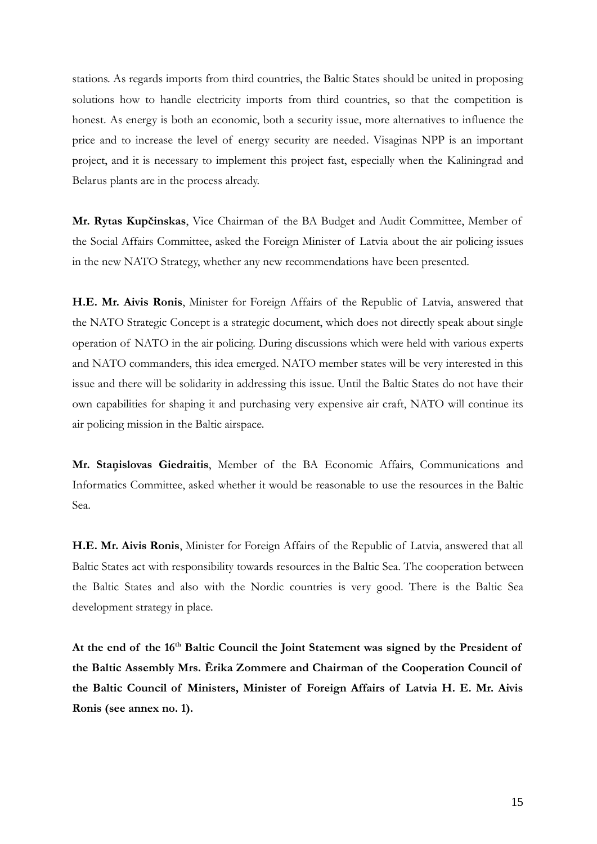stations. As regards imports from third countries, the Baltic States should be united in proposing solutions how to handle electricity imports from third countries, so that the competition is honest. As energy is both an economic, both a security issue, more alternatives to influence the price and to increase the level of energy security are needed. Visaginas NPP is an important project, and it is necessary to implement this project fast, especially when the Kaliningrad and Belarus plants are in the process already.

**Mr. Rytas Kupčinskas**, Vice Chairman of the BA Budget and Audit Committee, Member of the Social Affairs Committee, asked the Foreign Minister of Latvia about the air policing issues in the new NATO Strategy, whether any new recommendations have been presented.

**H.E. Mr. Aivis Ronis**, Minister for Foreign Affairs of the Republic of Latvia, answered that the NATO Strategic Concept is a strategic document, which does not directly speak about single operation of NATO in the air policing. During discussions which were held with various experts and NATO commanders, this idea emerged. NATO member states will be very interested in this issue and there will be solidarity in addressing this issue. Until the Baltic States do not have their own capabilities for shaping it and purchasing very expensive air craft, NATO will continue its air policing mission in the Baltic airspace.

**Mr. Staņislovas Giedraitis**, Member of the BA Economic Affairs, Communications and Informatics Committee, asked whether it would be reasonable to use the resources in the Baltic Sea.

**H.E. Mr. Aivis Ronis**, Minister for Foreign Affairs of the Republic of Latvia, answered that all Baltic States act with responsibility towards resources in the Baltic Sea. The cooperation between the Baltic States and also with the Nordic countries is very good. There is the Baltic Sea development strategy in place.

**At the end of the 16th Baltic Council the Joint Statement was signed by the President of the Baltic Assembly Mrs. Ērika Zommere and Chairman of the Cooperation Council of the Baltic Council of Ministers, Minister of Foreign Affairs of Latvia H. E. Mr. Aivis Ronis (see annex no. 1).**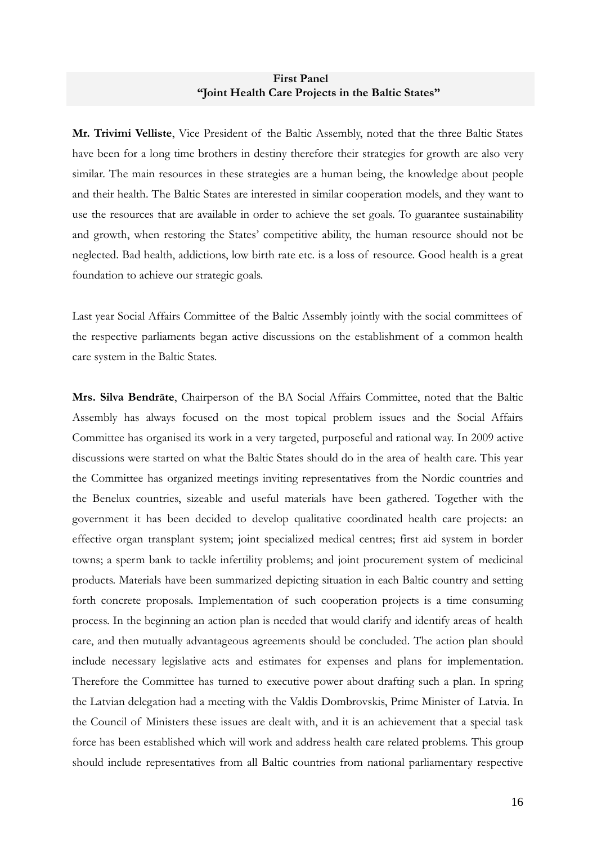## **First Panel "Joint Health Care Projects in the Baltic States"**

**Mr. Trivimi Velliste**, Vice President of the Baltic Assembly, noted that the three Baltic States have been for a long time brothers in destiny therefore their strategies for growth are also very similar. The main resources in these strategies are a human being, the knowledge about people and their health. The Baltic States are interested in similar cooperation models, and they want to use the resources that are available in order to achieve the set goals. To guarantee sustainability and growth, when restoring the States' competitive ability, the human resource should not be neglected. Bad health, addictions, low birth rate etc. is a loss of resource. Good health is a great foundation to achieve our strategic goals.

Last year Social Affairs Committee of the Baltic Assembly jointly with the social committees of the respective parliaments began active discussions on the establishment of a common health care system in the Baltic States.

**Mrs. Silva Bendrāte**, Chairperson of the BA Social Affairs Committee, noted that the Baltic Assembly has always focused on the most topical problem issues and the Social Affairs Committee has organised its work in a very targeted, purposeful and rational way. In 2009 active discussions were started on what the Baltic States should do in the area of health care. This year the Committee has organized meetings inviting representatives from the Nordic countries and the Benelux countries, sizeable and useful materials have been gathered. Together with the government it has been decided to develop qualitative coordinated health care projects: an effective organ transplant system; joint specialized medical centres; first aid system in border towns; a sperm bank to tackle infertility problems; and joint procurement system of medicinal products. Materials have been summarized depicting situation in each Baltic country and setting forth concrete proposals. Implementation of such cooperation projects is a time consuming process. In the beginning an action plan is needed that would clarify and identify areas of health care, and then mutually advantageous agreements should be concluded. The action plan should include necessary legislative acts and estimates for expenses and plans for implementation. Therefore the Committee has turned to executive power about drafting such a plan. In spring the Latvian delegation had a meeting with the Valdis Dombrovskis, Prime Minister of Latvia. In the Council of Ministers these issues are dealt with, and it is an achievement that a special task force has been established which will work and address health care related problems. This group should include representatives from all Baltic countries from national parliamentary respective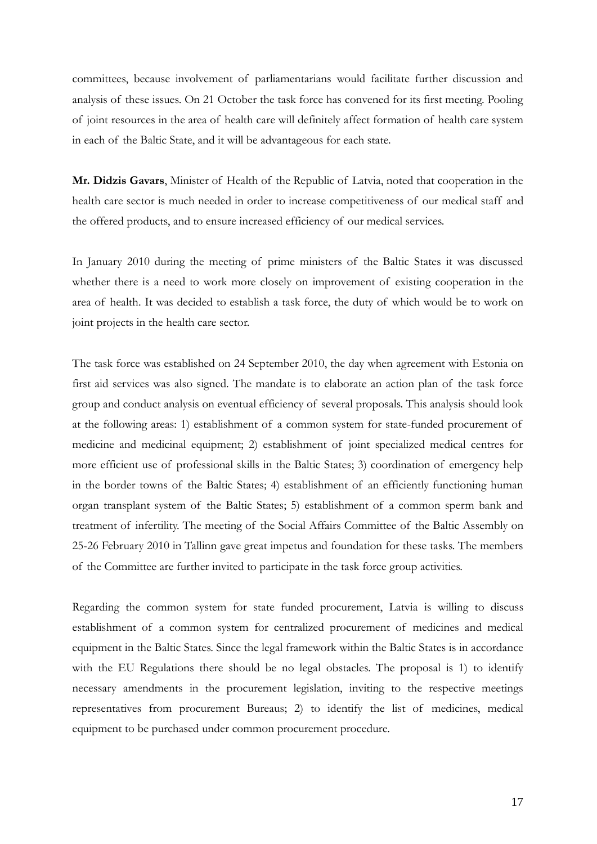committees, because involvement of parliamentarians would facilitate further discussion and analysis of these issues. On 21 October the task force has convened for its first meeting. Pooling of joint resources in the area of health care will definitely affect formation of health care system in each of the Baltic State, and it will be advantageous for each state.

**Mr. Didzis Gavars**, Minister of Health of the Republic of Latvia, noted that cooperation in the health care sector is much needed in order to increase competitiveness of our medical staff and the offered products, and to ensure increased efficiency of our medical services.

In January 2010 during the meeting of prime ministers of the Baltic States it was discussed whether there is a need to work more closely on improvement of existing cooperation in the area of health. It was decided to establish a task force, the duty of which would be to work on joint projects in the health care sector.

The task force was established on 24 September 2010, the day when agreement with Estonia on first aid services was also signed. The mandate is to elaborate an action plan of the task force group and conduct analysis on eventual efficiency of several proposals. This analysis should look at the following areas: 1) establishment of a common system for state-funded procurement of medicine and medicinal equipment; 2) establishment of joint specialized medical centres for more efficient use of professional skills in the Baltic States; 3) coordination of emergency help in the border towns of the Baltic States; 4) establishment of an efficiently functioning human organ transplant system of the Baltic States; 5) establishment of a common sperm bank and treatment of infertility. The meeting of the Social Affairs Committee of the Baltic Assembly on 25-26 February 2010 in Tallinn gave great impetus and foundation for these tasks. The members of the Committee are further invited to participate in the task force group activities.

Regarding the common system for state funded procurement, Latvia is willing to discuss establishment of a common system for centralized procurement of medicines and medical equipment in the Baltic States. Since the legal framework within the Baltic States is in accordance with the EU Regulations there should be no legal obstacles. The proposal is 1) to identify necessary amendments in the procurement legislation, inviting to the respective meetings representatives from procurement Bureaus; 2) to identify the list of medicines, medical equipment to be purchased under common procurement procedure.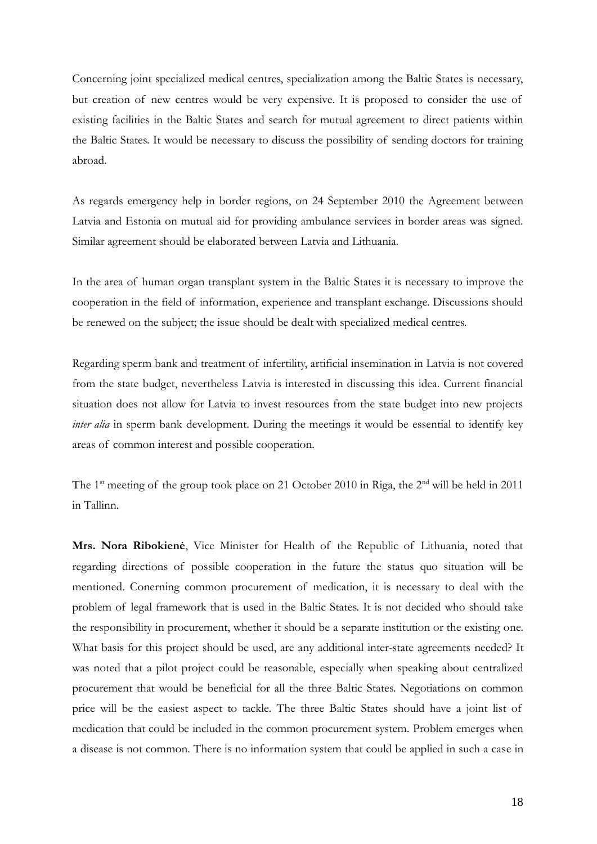Concerning joint specialized medical centres, specialization among the Baltic States is necessary, but creation of new centres would be very expensive. It is proposed to consider the use of existing facilities in the Baltic States and search for mutual agreement to direct patients within the Baltic States. It would be necessary to discuss the possibility of sending doctors for training abroad.

As regards emergency help in border regions, on 24 September 2010 the Agreement between Latvia and Estonia on mutual aid for providing ambulance services in border areas was signed. Similar agreement should be elaborated between Latvia and Lithuania.

In the area of human organ transplant system in the Baltic States it is necessary to improve the cooperation in the field of information, experience and transplant exchange. Discussions should be renewed on the subject; the issue should be dealt with specialized medical centres.

Regarding sperm bank and treatment of infertility, artificial insemination in Latvia is not covered from the state budget, nevertheless Latvia is interested in discussing this idea. Current financial situation does not allow for Latvia to invest resources from the state budget into new projects *inter alia* in sperm bank development. During the meetings it would be essential to identify key areas of common interest and possible cooperation.

The 1<sup>st</sup> meeting of the group took place on 21 October 2010 in Riga, the 2<sup>nd</sup> will be held in 2011 in Tallinn.

**Mrs. Nora Ribokienė**, Vice Minister for Health of the Republic of Lithuania, noted that regarding directions of possible cooperation in the future the status quo situation will be mentioned. Conerning common procurement of medication, it is necessary to deal with the problem of legal framework that is used in the Baltic States. It is not decided who should take the responsibility in procurement, whether it should be a separate institution or the existing one. What basis for this project should be used, are any additional inter-state agreements needed? It was noted that a pilot project could be reasonable, especially when speaking about centralized procurement that would be beneficial for all the three Baltic States. Negotiations on common price will be the easiest aspect to tackle. The three Baltic States should have a joint list of medication that could be included in the common procurement system. Problem emerges when a disease is not common. There is no information system that could be applied in such a case in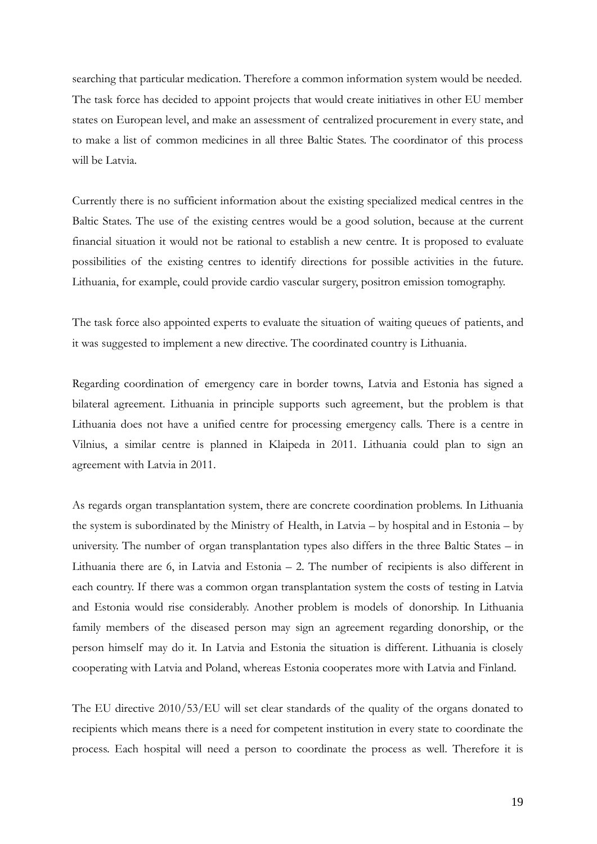searching that particular medication. Therefore a common information system would be needed. The task force has decided to appoint projects that would create initiatives in other EU member states on European level, and make an assessment of centralized procurement in every state, and to make a list of common medicines in all three Baltic States. The coordinator of this process will be Latvia.

Currently there is no sufficient information about the existing specialized medical centres in the Baltic States. The use of the existing centres would be a good solution, because at the current financial situation it would not be rational to establish a new centre. It is proposed to evaluate possibilities of the existing centres to identify directions for possible activities in the future. Lithuania, for example, could provide cardio vascular surgery, positron emission tomography.

The task force also appointed experts to evaluate the situation of waiting queues of patients, and it was suggested to implement a new directive. The coordinated country is Lithuania.

Regarding coordination of emergency care in border towns, Latvia and Estonia has signed a bilateral agreement. Lithuania in principle supports such agreement, but the problem is that Lithuania does not have a unified centre for processing emergency calls. There is a centre in Vilnius, a similar centre is planned in Klaipeda in 2011. Lithuania could plan to sign an agreement with Latvia in 2011.

As regards organ transplantation system, there are concrete coordination problems. In Lithuania the system is subordinated by the Ministry of Health, in Latvia – by hospital and in Estonia – by university. The number of organ transplantation types also differs in the three Baltic States – in Lithuania there are 6, in Latvia and Estonia  $-2$ . The number of recipients is also different in each country. If there was a common organ transplantation system the costs of testing in Latvia and Estonia would rise considerably. Another problem is models of donorship. In Lithuania family members of the diseased person may sign an agreement regarding donorship, or the person himself may do it. In Latvia and Estonia the situation is different. Lithuania is closely cooperating with Latvia and Poland, whereas Estonia cooperates more with Latvia and Finland.

The EU directive 2010/53/EU will set clear standards of the quality of the organs donated to recipients which means there is a need for competent institution in every state to coordinate the process. Each hospital will need a person to coordinate the process as well. Therefore it is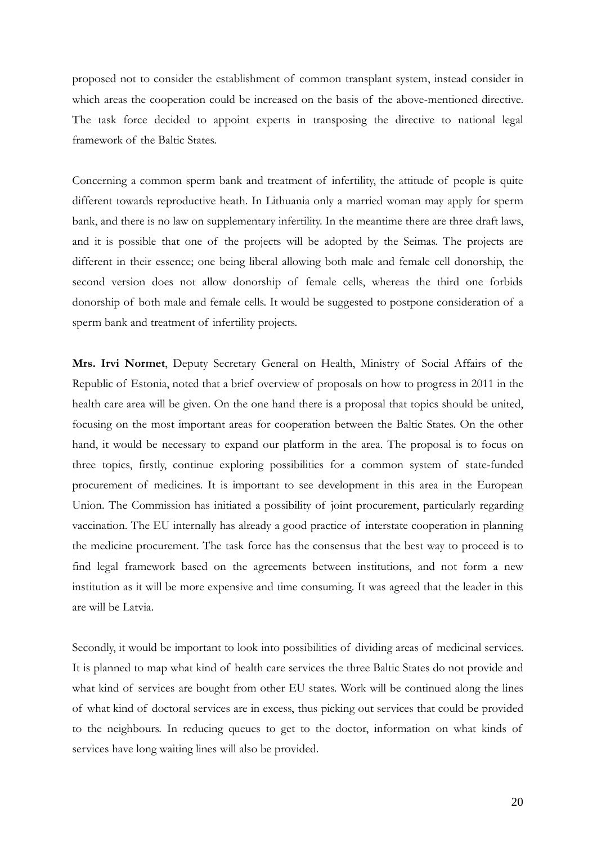proposed not to consider the establishment of common transplant system, instead consider in which areas the cooperation could be increased on the basis of the above-mentioned directive. The task force decided to appoint experts in transposing the directive to national legal framework of the Baltic States.

Concerning a common sperm bank and treatment of infertility, the attitude of people is quite different towards reproductive heath. In Lithuania only a married woman may apply for sperm bank, and there is no law on supplementary infertility. In the meantime there are three draft laws, and it is possible that one of the projects will be adopted by the Seimas. The projects are different in their essence; one being liberal allowing both male and female cell donorship, the second version does not allow donorship of female cells, whereas the third one forbids donorship of both male and female cells. It would be suggested to postpone consideration of a sperm bank and treatment of infertility projects.

**Mrs. Irvi Normet**, Deputy Secretary General on Health, Ministry of Social Affairs of the Republic of Estonia, noted that a brief overview of proposals on how to progress in 2011 in the health care area will be given. On the one hand there is a proposal that topics should be united, focusing on the most important areas for cooperation between the Baltic States. On the other hand, it would be necessary to expand our platform in the area. The proposal is to focus on three topics, firstly, continue exploring possibilities for a common system of state-funded procurement of medicines. It is important to see development in this area in the European Union. The Commission has initiated a possibility of joint procurement, particularly regarding vaccination. The EU internally has already a good practice of interstate cooperation in planning the medicine procurement. The task force has the consensus that the best way to proceed is to find legal framework based on the agreements between institutions, and not form a new institution as it will be more expensive and time consuming. It was agreed that the leader in this are will be Latvia.

Secondly, it would be important to look into possibilities of dividing areas of medicinal services. It is planned to map what kind of health care services the three Baltic States do not provide and what kind of services are bought from other EU states. Work will be continued along the lines of what kind of doctoral services are in excess, thus picking out services that could be provided to the neighbours. In reducing queues to get to the doctor, information on what kinds of services have long waiting lines will also be provided.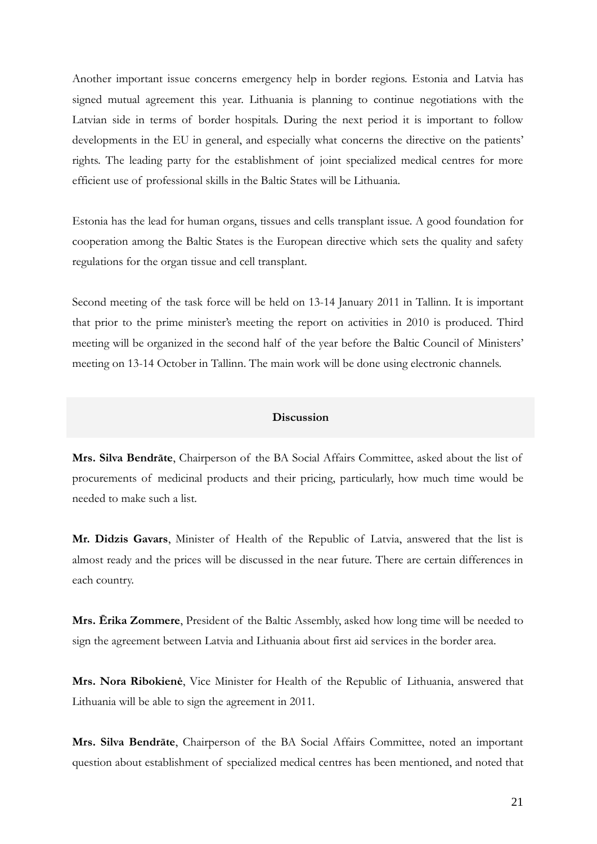Another important issue concerns emergency help in border regions. Estonia and Latvia has signed mutual agreement this year. Lithuania is planning to continue negotiations with the Latvian side in terms of border hospitals. During the next period it is important to follow developments in the EU in general, and especially what concerns the directive on the patients' rights. The leading party for the establishment of joint specialized medical centres for more efficient use of professional skills in the Baltic States will be Lithuania.

Estonia has the lead for human organs, tissues and cells transplant issue. A good foundation for cooperation among the Baltic States is the European directive which sets the quality and safety regulations for the organ tissue and cell transplant.

Second meeting of the task force will be held on 13-14 January 2011 in Tallinn. It is important that prior to the prime minister's meeting the report on activities in 2010 is produced. Third meeting will be organized in the second half of the year before the Baltic Council of Ministers' meeting on 13-14 October in Tallinn. The main work will be done using electronic channels.

### **Discussion**

**Mrs. Silva Bendrāte**, Chairperson of the BA Social Affairs Committee, asked about the list of procurements of medicinal products and their pricing, particularly, how much time would be needed to make such a list.

**Mr. Didzis Gavars**, Minister of Health of the Republic of Latvia, answered that the list is almost ready and the prices will be discussed in the near future. There are certain differences in each country.

**Mrs. Ērika Zommere**, President of the Baltic Assembly, asked how long time will be needed to sign the agreement between Latvia and Lithuania about first aid services in the border area.

**Mrs. Nora Ribokienė**, Vice Minister for Health of the Republic of Lithuania, answered that Lithuania will be able to sign the agreement in 2011.

**Mrs. Silva Bendrāte**, Chairperson of the BA Social Affairs Committee, noted an important question about establishment of specialized medical centres has been mentioned, and noted that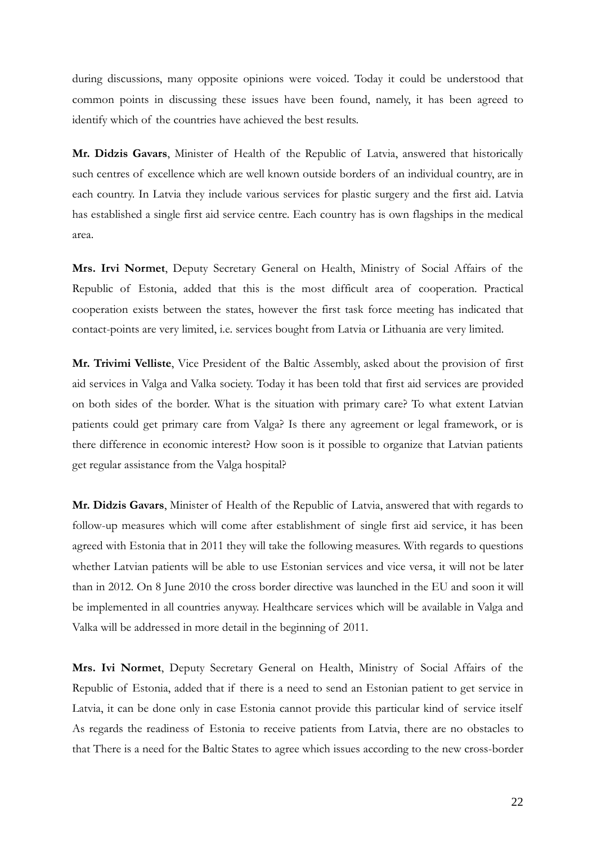during discussions, many opposite opinions were voiced. Today it could be understood that common points in discussing these issues have been found, namely, it has been agreed to identify which of the countries have achieved the best results.

**Mr. Didzis Gavars**, Minister of Health of the Republic of Latvia, answered that historically such centres of excellence which are well known outside borders of an individual country, are in each country. In Latvia they include various services for plastic surgery and the first aid. Latvia has established a single first aid service centre. Each country has is own flagships in the medical area.

**Mrs. Irvi Normet**, Deputy Secretary General on Health, Ministry of Social Affairs of the Republic of Estonia, added that this is the most difficult area of cooperation. Practical cooperation exists between the states, however the first task force meeting has indicated that contact-points are very limited, i.e. services bought from Latvia or Lithuania are very limited.

**Mr. Trivimi Velliste**, Vice President of the Baltic Assembly, asked about the provision of first aid services in Valga and Valka society. Today it has been told that first aid services are provided on both sides of the border. What is the situation with primary care? To what extent Latvian patients could get primary care from Valga? Is there any agreement or legal framework, or is there difference in economic interest? How soon is it possible to organize that Latvian patients get regular assistance from the Valga hospital?

**Mr. Didzis Gavars**, Minister of Health of the Republic of Latvia, answered that with regards to follow-up measures which will come after establishment of single first aid service, it has been agreed with Estonia that in 2011 they will take the following measures. With regards to questions whether Latvian patients will be able to use Estonian services and vice versa, it will not be later than in 2012. On 8 June 2010 the cross border directive was launched in the EU and soon it will be implemented in all countries anyway. Healthcare services which will be available in Valga and Valka will be addressed in more detail in the beginning of 2011.

**Mrs. Ivi Normet**, Deputy Secretary General on Health, Ministry of Social Affairs of the Republic of Estonia, added that if there is a need to send an Estonian patient to get service in Latvia, it can be done only in case Estonia cannot provide this particular kind of service itself As regards the readiness of Estonia to receive patients from Latvia, there are no obstacles to that There is a need for the Baltic States to agree which issues according to the new cross-border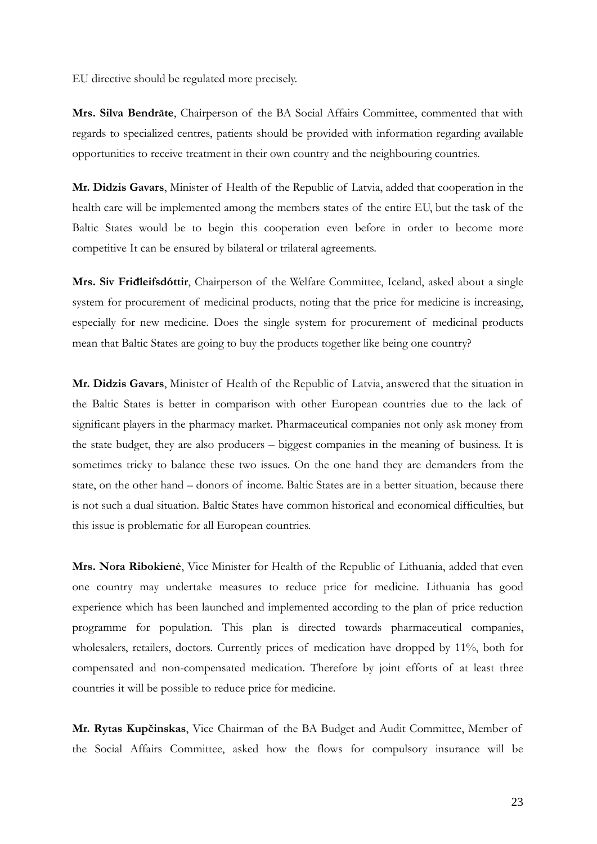EU directive should be regulated more precisely.

**Mrs. Silva Bendrāte**, Chairperson of the BA Social Affairs Committee, commented that with regards to specialized centres, patients should be provided with information regarding available opportunities to receive treatment in their own country and the neighbouring countries.

**Mr. Didzis Gavars**, Minister of Health of the Republic of Latvia, added that cooperation in the health care will be implemented among the members states of the entire EU, but the task of the Baltic States would be to begin this cooperation even before in order to become more competitive It can be ensured by bilateral or trilateral agreements.

**Mrs. Siv Friđleifsdóttir**, Chairperson of the Welfare Committee, Iceland, asked about a single system for procurement of medicinal products, noting that the price for medicine is increasing, especially for new medicine. Does the single system for procurement of medicinal products mean that Baltic States are going to buy the products together like being one country?

**Mr. Didzis Gavars**, Minister of Health of the Republic of Latvia, answered that the situation in the Baltic States is better in comparison with other European countries due to the lack of significant players in the pharmacy market. Pharmaceutical companies not only ask money from the state budget, they are also producers – biggest companies in the meaning of business. It is sometimes tricky to balance these two issues. On the one hand they are demanders from the state, on the other hand – donors of income. Baltic States are in a better situation, because there is not such a dual situation. Baltic States have common historical and economical difficulties, but this issue is problematic for all European countries.

**Mrs. Nora Ribokienė**, Vice Minister for Health of the Republic of Lithuania, added that even one country may undertake measures to reduce price for medicine. Lithuania has good experience which has been launched and implemented according to the plan of price reduction programme for population. This plan is directed towards pharmaceutical companies, wholesalers, retailers, doctors. Currently prices of medication have dropped by 11%, both for compensated and non-compensated medication. Therefore by joint efforts of at least three countries it will be possible to reduce price for medicine.

**Mr. Rytas Kupčinskas**, Vice Chairman of the BA Budget and Audit Committee, Member of the Social Affairs Committee, asked how the flows for compulsory insurance will be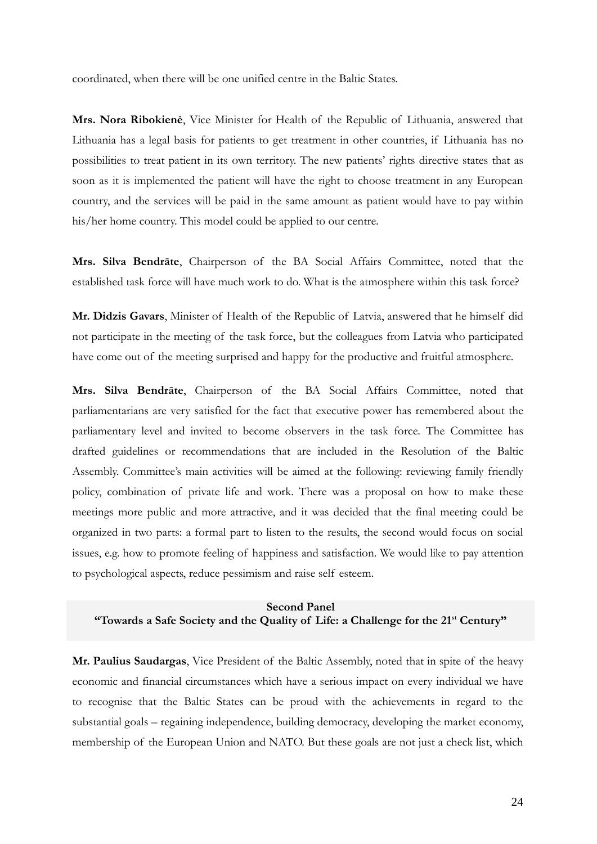coordinated, when there will be one unified centre in the Baltic States.

**Mrs. Nora Ribokienė**, Vice Minister for Health of the Republic of Lithuania, answered that Lithuania has a legal basis for patients to get treatment in other countries, if Lithuania has no possibilities to treat patient in its own territory. The new patients' rights directive states that as soon as it is implemented the patient will have the right to choose treatment in any European country, and the services will be paid in the same amount as patient would have to pay within his/her home country. This model could be applied to our centre.

**Mrs. Silva Bendrāte**, Chairperson of the BA Social Affairs Committee, noted that the established task force will have much work to do. What is the atmosphere within this task force?

**Mr. Didzis Gavars**, Minister of Health of the Republic of Latvia, answered that he himself did not participate in the meeting of the task force, but the colleagues from Latvia who participated have come out of the meeting surprised and happy for the productive and fruitful atmosphere.

**Mrs. Silva Bendrāte**, Chairperson of the BA Social Affairs Committee, noted that parliamentarians are very satisfied for the fact that executive power has remembered about the parliamentary level and invited to become observers in the task force. The Committee has drafted guidelines or recommendations that are included in the Resolution of the Baltic Assembly. Committee's main activities will be aimed at the following: reviewing family friendly policy, combination of private life and work. There was a proposal on how to make these meetings more public and more attractive, and it was decided that the final meeting could be organized in two parts: a formal part to listen to the results, the second would focus on social issues, e.g. how to promote feeling of happiness and satisfaction. We would like to pay attention to psychological aspects, reduce pessimism and raise self esteem.

## **Second Panel "Towards a Safe Society and the Quality of Life: a Challenge for the 21st Century"**

**Mr. Paulius Saudargas**, Vice President of the Baltic Assembly, noted that in spite of the heavy economic and financial circumstances which have a serious impact on every individual we have to recognise that the Baltic States can be proud with the achievements in regard to the substantial goals – regaining independence, building democracy, developing the market economy, membership of the European Union and NATO. But these goals are not just a check list, which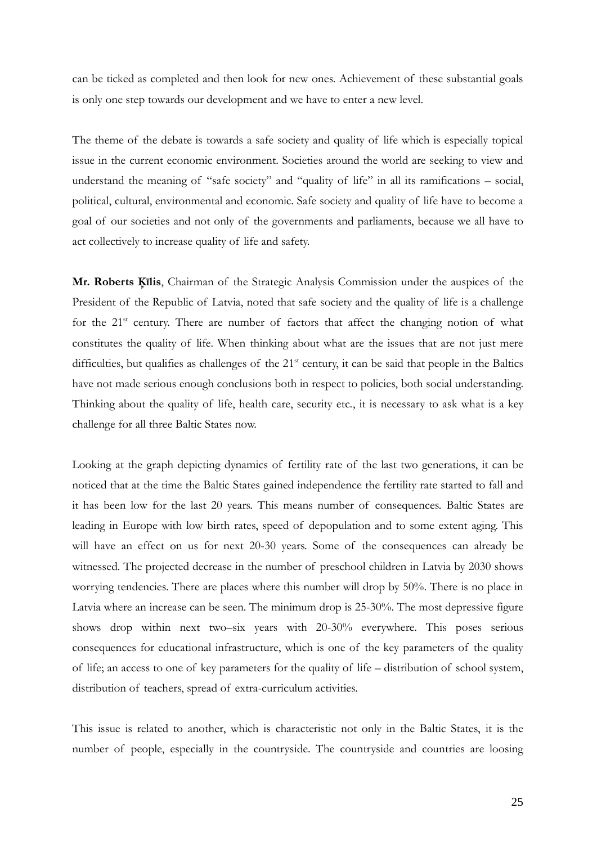can be ticked as completed and then look for new ones. Achievement of these substantial goals is only one step towards our development and we have to enter a new level.

The theme of the debate is towards a safe society and quality of life which is especially topical issue in the current economic environment. Societies around the world are seeking to view and understand the meaning of "safe society" and "quality of life" in all its ramifications – social, political, cultural, environmental and economic. Safe society and quality of life have to become a goal of our societies and not only of the governments and parliaments, because we all have to act collectively to increase quality of life and safety.

**Mr. Roberts Ķīlis**, Chairman of the Strategic Analysis Commission under the auspices of the President of the Republic of Latvia, noted that safe society and the quality of life is a challenge for the  $21^{st}$  century. There are number of factors that affect the changing notion of what constitutes the quality of life. When thinking about what are the issues that are not just mere difficulties, but qualifies as challenges of the 21<sup>st</sup> century, it can be said that people in the Baltics have not made serious enough conclusions both in respect to policies, both social understanding. Thinking about the quality of life, health care, security etc., it is necessary to ask what is a key challenge for all three Baltic States now.

Looking at the graph depicting dynamics of fertility rate of the last two generations, it can be noticed that at the time the Baltic States gained independence the fertility rate started to fall and it has been low for the last 20 years. This means number of consequences. Baltic States are leading in Europe with low birth rates, speed of depopulation and to some extent aging. This will have an effect on us for next 20-30 years. Some of the consequences can already be witnessed. The projected decrease in the number of preschool children in Latvia by 2030 shows worrying tendencies. There are places where this number will drop by 50%. There is no place in Latvia where an increase can be seen. The minimum drop is 25-30%. The most depressive figure shows drop within next two–six years with 20-30% everywhere. This poses serious consequences for educational infrastructure, which is one of the key parameters of the quality of life; an access to one of key parameters for the quality of life – distribution of school system, distribution of teachers, spread of extra-curriculum activities.

This issue is related to another, which is characteristic not only in the Baltic States, it is the number of people, especially in the countryside. The countryside and countries are loosing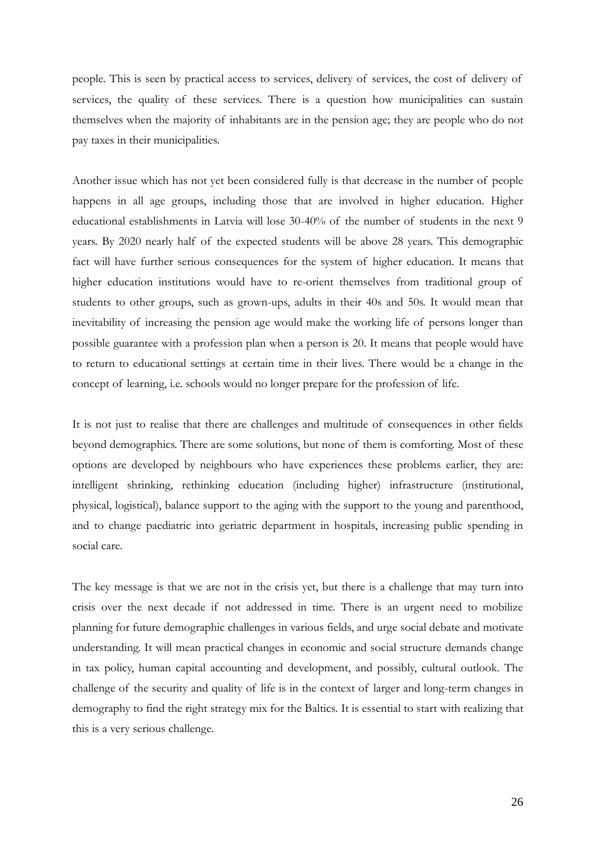people. This is seen by practical access to services, delivery of services, the cost of delivery of services, the quality of these services. There is a question how municipalities can sustain themselves when the majority of inhabitants are in the pension age; they are people who do not pay taxes in their municipalities.

Another issue which has not yet been considered fully is that decrease in the number of people happens in all age groups, including those that are involved in higher education. Higher educational establishments in Latvia will lose 30-40% of the number of students in the next 9 years. By 2020 nearly half of the expected students will be above 28 years. This demographic fact will have further serious consequences for the system of higher education. It means that higher education institutions would have to re-orient themselves from traditional group of students to other groups, such as grown-ups, adults in their 40s and 50s. It would mean that inevitability of increasing the pension age would make the working life of persons longer than possible guarantee with a profession plan when a person is 20. It means that people would have to return to educational settings at certain time in their lives. There would be a change in the concept of learning, i.e. schools would no longer prepare for the profession of life.

It is not just to realise that there are challenges and multitude of consequences in other fields beyond demographics. There are some solutions, but none of them is comforting. Most of these options are developed by neighbours who have experiences these problems earlier, they are: intelligent shrinking, rethinking education (including higher) infrastructure (institutional, physical, logistical), balance support to the aging with the support to the young and parenthood, and to change paediatric into geriatric department in hospitals, increasing public spending in social care.

The key message is that we are not in the crisis yet, but there is a challenge that may turn into crisis over the next decade if not addressed in time. There is an urgent need to mobilize planning for future demographic challenges in various fields, and urge social debate and motivate understanding. It will mean practical changes in economic and social structure demands change in tax policy, human capital accounting and development, and possibly, cultural outlook. The challenge of the security and quality of life is in the context of larger and long-term changes in demography to find the right strategy mix for the Baltics. It is essential to start with realizing that this is a very serious challenge.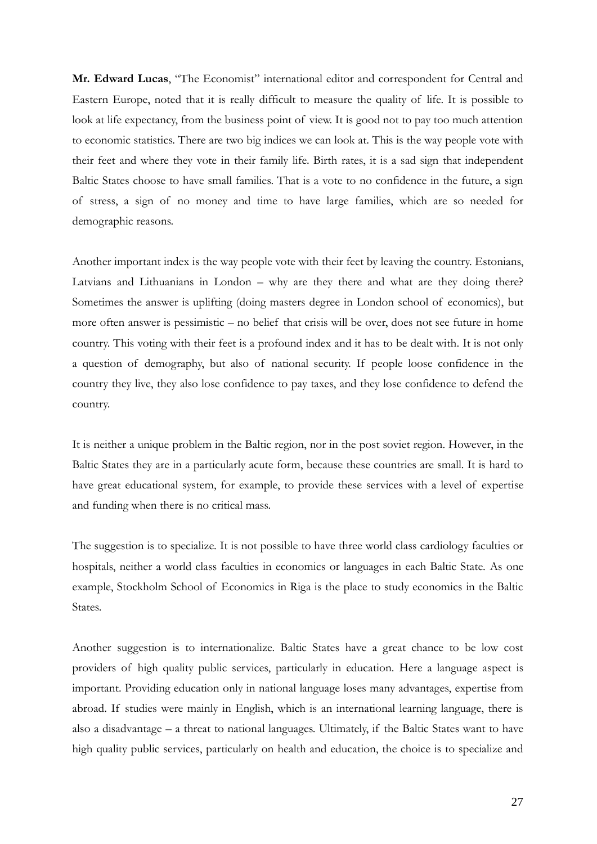**Mr. Edward Lucas**, "The Economist" international editor and correspondent for Central and Eastern Europe, noted that it is really difficult to measure the quality of life. It is possible to look at life expectancy, from the business point of view. It is good not to pay too much attention to economic statistics. There are two big indices we can look at. This is the way people vote with their feet and where they vote in their family life. Birth rates, it is a sad sign that independent Baltic States choose to have small families. That is a vote to no confidence in the future, a sign of stress, a sign of no money and time to have large families, which are so needed for demographic reasons.

Another important index is the way people vote with their feet by leaving the country. Estonians, Latvians and Lithuanians in London – why are they there and what are they doing there? Sometimes the answer is uplifting (doing masters degree in London school of economics), but more often answer is pessimistic – no belief that crisis will be over, does not see future in home country. This voting with their feet is a profound index and it has to be dealt with. It is not only a question of demography, but also of national security. If people loose confidence in the country they live, they also lose confidence to pay taxes, and they lose confidence to defend the country.

It is neither a unique problem in the Baltic region, nor in the post soviet region. However, in the Baltic States they are in a particularly acute form, because these countries are small. It is hard to have great educational system, for example, to provide these services with a level of expertise and funding when there is no critical mass.

The suggestion is to specialize. It is not possible to have three world class cardiology faculties or hospitals, neither a world class faculties in economics or languages in each Baltic State. As one example, Stockholm School of Economics in Riga is the place to study economics in the Baltic States.

Another suggestion is to internationalize. Baltic States have a great chance to be low cost providers of high quality public services, particularly in education. Here a language aspect is important. Providing education only in national language loses many advantages, expertise from abroad. If studies were mainly in English, which is an international learning language, there is also a disadvantage – a threat to national languages. Ultimately, if the Baltic States want to have high quality public services, particularly on health and education, the choice is to specialize and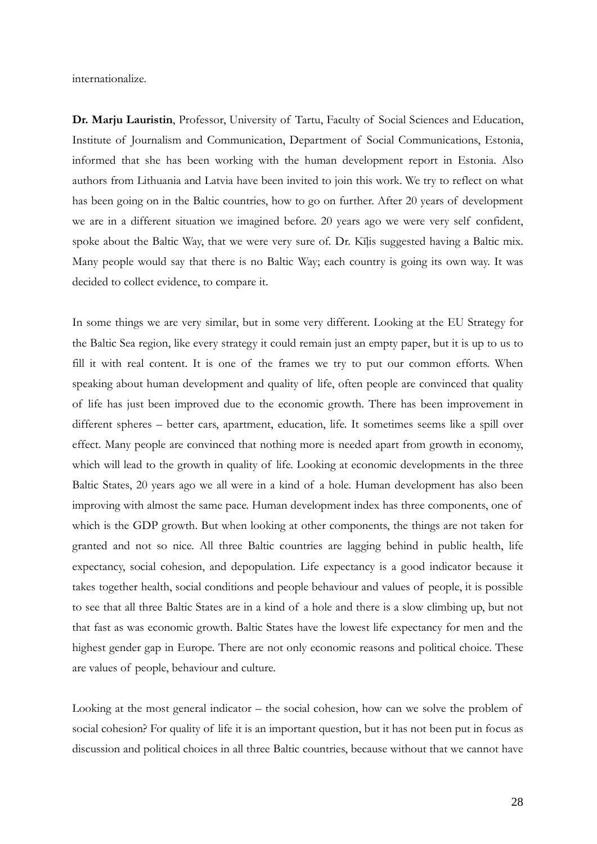internationalize.

**Dr. Marju Lauristin**, Professor, University of Tartu, Faculty of Social Sciences and Education, Institute of Journalism and Communication, Department of Social Communications, Estonia, informed that she has been working with the human development report in Estonia. Also authors from Lithuania and Latvia have been invited to join this work. We try to reflect on what has been going on in the Baltic countries, how to go on further. After 20 years of development we are in a different situation we imagined before. 20 years ago we were very self confident, spoke about the Baltic Way, that we were very sure of. Dr. Kīļis suggested having a Baltic mix. Many people would say that there is no Baltic Way; each country is going its own way. It was decided to collect evidence, to compare it.

In some things we are very similar, but in some very different. Looking at the EU Strategy for the Baltic Sea region, like every strategy it could remain just an empty paper, but it is up to us to fill it with real content. It is one of the frames we try to put our common efforts. When speaking about human development and quality of life, often people are convinced that quality of life has just been improved due to the economic growth. There has been improvement in different spheres – better cars, apartment, education, life. It sometimes seems like a spill over effect. Many people are convinced that nothing more is needed apart from growth in economy, which will lead to the growth in quality of life. Looking at economic developments in the three Baltic States, 20 years ago we all were in a kind of a hole. Human development has also been improving with almost the same pace. Human development index has three components, one of which is the GDP growth. But when looking at other components, the things are not taken for granted and not so nice. All three Baltic countries are lagging behind in public health, life expectancy, social cohesion, and depopulation. Life expectancy is a good indicator because it takes together health, social conditions and people behaviour and values of people, it is possible to see that all three Baltic States are in a kind of a hole and there is a slow climbing up, but not that fast as was economic growth. Baltic States have the lowest life expectancy for men and the highest gender gap in Europe. There are not only economic reasons and political choice. These are values of people, behaviour and culture.

Looking at the most general indicator – the social cohesion, how can we solve the problem of social cohesion? For quality of life it is an important question, but it has not been put in focus as discussion and political choices in all three Baltic countries, because without that we cannot have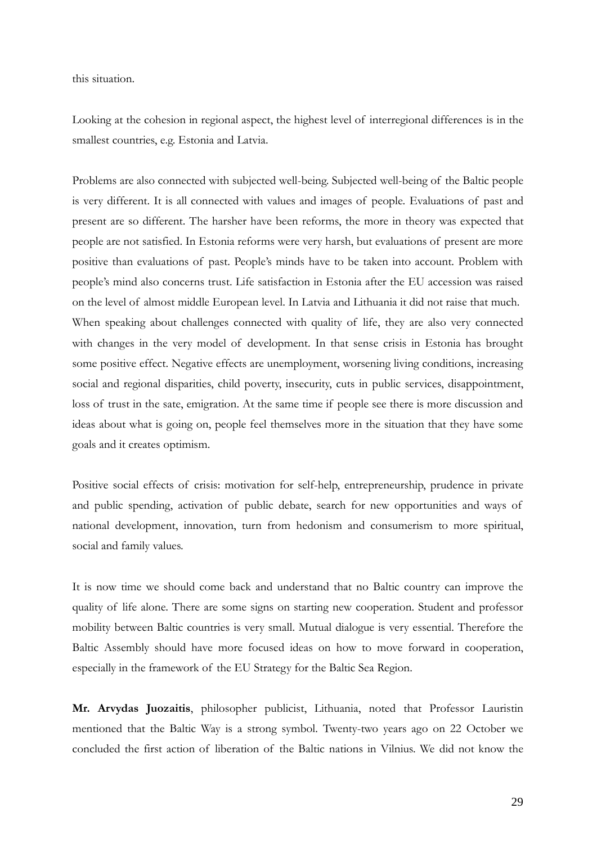this situation.

Looking at the cohesion in regional aspect, the highest level of interregional differences is in the smallest countries, e.g. Estonia and Latvia.

Problems are also connected with subjected well-being. Subjected well-being of the Baltic people is very different. It is all connected with values and images of people. Evaluations of past and present are so different. The harsher have been reforms, the more in theory was expected that people are not satisfied. In Estonia reforms were very harsh, but evaluations of present are more positive than evaluations of past. People's minds have to be taken into account. Problem with people's mind also concerns trust. Life satisfaction in Estonia after the EU accession was raised on the level of almost middle European level. In Latvia and Lithuania it did not raise that much. When speaking about challenges connected with quality of life, they are also very connected with changes in the very model of development. In that sense crisis in Estonia has brought some positive effect. Negative effects are unemployment, worsening living conditions, increasing social and regional disparities, child poverty, insecurity, cuts in public services, disappointment, loss of trust in the sate, emigration. At the same time if people see there is more discussion and ideas about what is going on, people feel themselves more in the situation that they have some goals and it creates optimism.

Positive social effects of crisis: motivation for self-help, entrepreneurship, prudence in private and public spending, activation of public debate, search for new opportunities and ways of national development, innovation, turn from hedonism and consumerism to more spiritual, social and family values.

It is now time we should come back and understand that no Baltic country can improve the quality of life alone. There are some signs on starting new cooperation. Student and professor mobility between Baltic countries is very small. Mutual dialogue is very essential. Therefore the Baltic Assembly should have more focused ideas on how to move forward in cooperation, especially in the framework of the EU Strategy for the Baltic Sea Region.

**Mr. Arvydas Juozaitis**, philosopher publicist, Lithuania, noted that Professor Lauristin mentioned that the Baltic Way is a strong symbol. Twenty-two years ago on 22 October we concluded the first action of liberation of the Baltic nations in Vilnius. We did not know the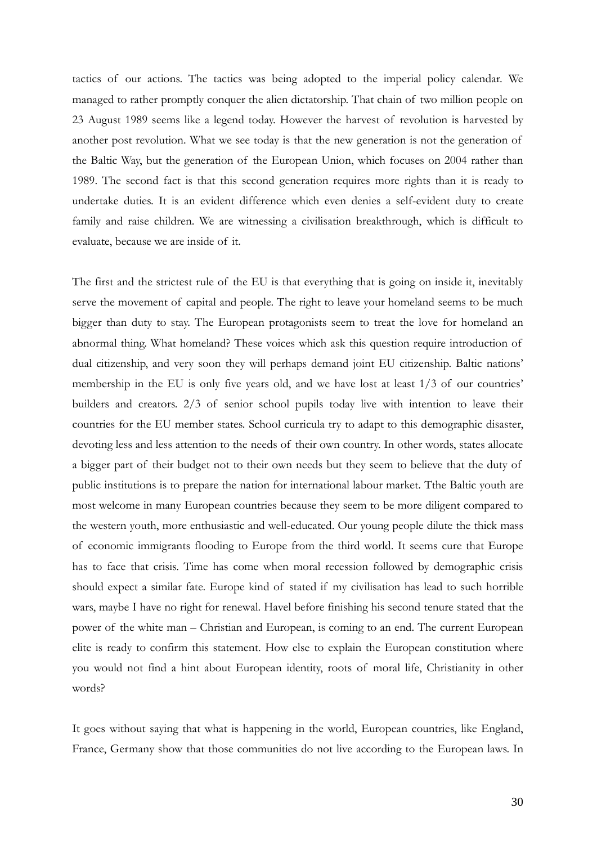tactics of our actions. The tactics was being adopted to the imperial policy calendar. We managed to rather promptly conquer the alien dictatorship. That chain of two million people on 23 August 1989 seems like a legend today. However the harvest of revolution is harvested by another post revolution. What we see today is that the new generation is not the generation of the Baltic Way, but the generation of the European Union, which focuses on 2004 rather than 1989. The second fact is that this second generation requires more rights than it is ready to undertake duties. It is an evident difference which even denies a self-evident duty to create family and raise children. We are witnessing a civilisation breakthrough, which is difficult to evaluate, because we are inside of it.

The first and the strictest rule of the EU is that everything that is going on inside it, inevitably serve the movement of capital and people. The right to leave your homeland seems to be much bigger than duty to stay. The European protagonists seem to treat the love for homeland an abnormal thing. What homeland? These voices which ask this question require introduction of dual citizenship, and very soon they will perhaps demand joint EU citizenship. Baltic nations' membership in the EU is only five years old, and we have lost at least 1/3 of our countries' builders and creators. 2/3 of senior school pupils today live with intention to leave their countries for the EU member states. School curricula try to adapt to this demographic disaster, devoting less and less attention to the needs of their own country. In other words, states allocate a bigger part of their budget not to their own needs but they seem to believe that the duty of public institutions is to prepare the nation for international labour market. Tthe Baltic youth are most welcome in many European countries because they seem to be more diligent compared to the western youth, more enthusiastic and well-educated. Our young people dilute the thick mass of economic immigrants flooding to Europe from the third world. It seems cure that Europe has to face that crisis. Time has come when moral recession followed by demographic crisis should expect a similar fate. Europe kind of stated if my civilisation has lead to such horrible wars, maybe I have no right for renewal. Havel before finishing his second tenure stated that the power of the white man – Christian and European, is coming to an end. The current European elite is ready to confirm this statement. How else to explain the European constitution where you would not find a hint about European identity, roots of moral life, Christianity in other words?

It goes without saying that what is happening in the world, European countries, like England, France, Germany show that those communities do not live according to the European laws. In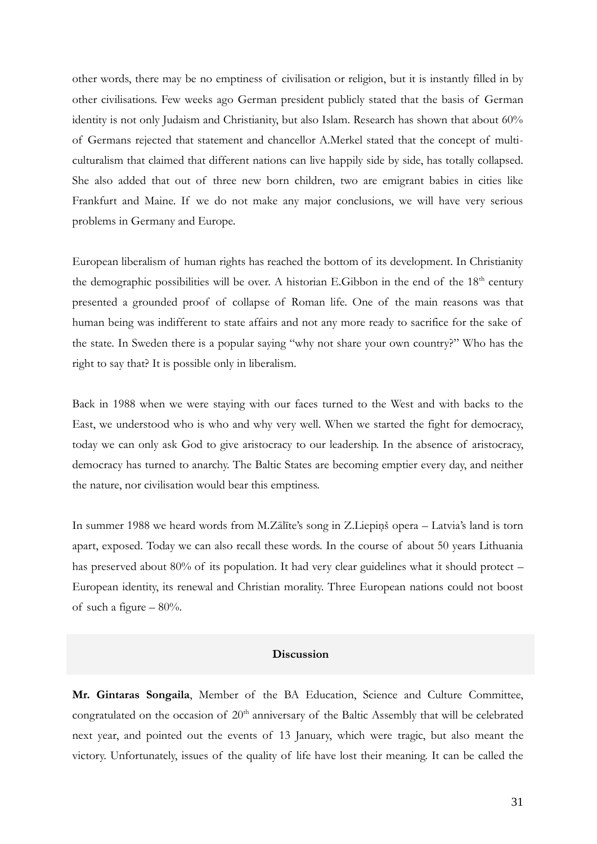other words, there may be no emptiness of civilisation or religion, but it is instantly filled in by other civilisations. Few weeks ago German president publicly stated that the basis of German identity is not only Judaism and Christianity, but also Islam. Research has shown that about 60% of Germans rejected that statement and chancellor A.Merkel stated that the concept of multiculturalism that claimed that different nations can live happily side by side, has totally collapsed. She also added that out of three new born children, two are emigrant babies in cities like Frankfurt and Maine. If we do not make any major conclusions, we will have very serious problems in Germany and Europe.

European liberalism of human rights has reached the bottom of its development. In Christianity the demographic possibilities will be over. A historian E.Gibbon in the end of the  $18<sup>th</sup>$  century presented a grounded proof of collapse of Roman life. One of the main reasons was that human being was indifferent to state affairs and not any more ready to sacrifice for the sake of the state. In Sweden there is a popular saying "why not share your own country?" Who has the right to say that? It is possible only in liberalism.

Back in 1988 when we were staying with our faces turned to the West and with backs to the East, we understood who is who and why very well. When we started the fight for democracy, today we can only ask God to give aristocracy to our leadership. In the absence of aristocracy, democracy has turned to anarchy. The Baltic States are becoming emptier every day, and neither the nature, nor civilisation would bear this emptiness.

In summer 1988 we heard words from M.Zālīte's song in Z.Liepiņš opera – Latvia's land is torn apart, exposed. Today we can also recall these words. In the course of about 50 years Lithuania has preserved about 80% of its population. It had very clear guidelines what it should protect – European identity, its renewal and Christian morality. Three European nations could not boost of such a figure  $-80%$ .

## **Discussion**

**Mr. Gintaras Songaila**, Member of the BA Education, Science and Culture Committee, congratulated on the occasion of  $20<sup>th</sup>$  anniversary of the Baltic Assembly that will be celebrated next year, and pointed out the events of 13 January, which were tragic, but also meant the victory. Unfortunately, issues of the quality of life have lost their meaning. It can be called the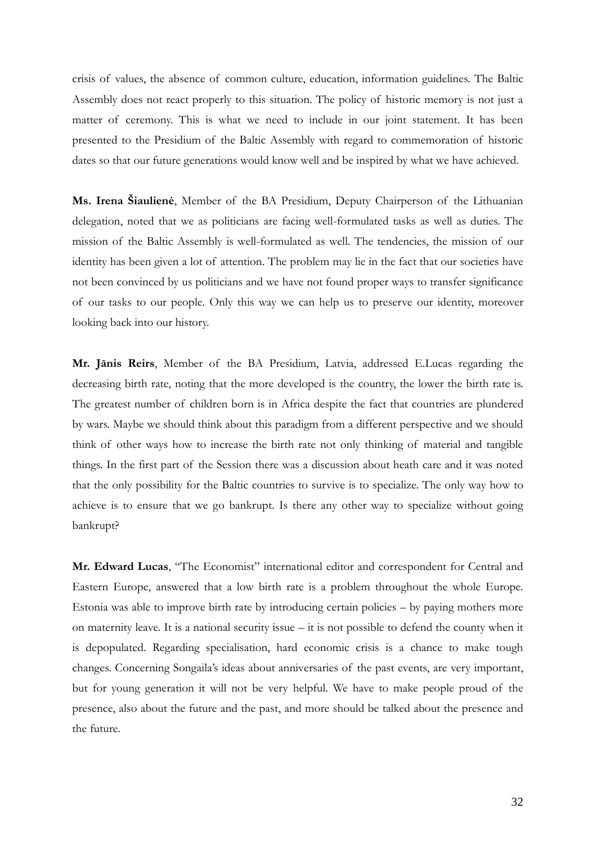crisis of values, the absence of common culture, education, information guidelines. The Baltic Assembly does not react properly to this situation. The policy of historic memory is not just a matter of ceremony. This is what we need to include in our joint statement. It has been presented to the Presidium of the Baltic Assembly with regard to commemoration of historic dates so that our future generations would know well and be inspired by what we have achieved.

**Ms. Irena Šiaulienė**, Member of the BA Presidium, Deputy Chairperson of the Lithuanian delegation, noted that we as politicians are facing well-formulated tasks as well as duties. The mission of the Baltic Assembly is well-formulated as well. The tendencies, the mission of our identity has been given a lot of attention. The problem may lie in the fact that our societies have not been convinced by us politicians and we have not found proper ways to transfer significance of our tasks to our people. Only this way we can help us to preserve our identity, moreover looking back into our history.

**Mr. Jānis Reirs**, Member of the BA Presidium, Latvia, addressed E.Lucas regarding the decreasing birth rate, noting that the more developed is the country, the lower the birth rate is. The greatest number of children born is in Africa despite the fact that countries are plundered by wars. Maybe we should think about this paradigm from a different perspective and we should think of other ways how to increase the birth rate not only thinking of material and tangible things. In the first part of the Session there was a discussion about heath care and it was noted that the only possibility for the Baltic countries to survive is to specialize. The only way how to achieve is to ensure that we go bankrupt. Is there any other way to specialize without going bankrupt?

**Mr. Edward Lucas**, "The Economist" international editor and correspondent for Central and Eastern Europe, answered that a low birth rate is a problem throughout the whole Europe. Estonia was able to improve birth rate by introducing certain policies – by paying mothers more on maternity leave. It is a national security issue – it is not possible to defend the county when it is depopulated. Regarding specialisation, hard economic crisis is a chance to make tough changes. Concerning Songaila's ideas about anniversaries of the past events, are very important, but for young generation it will not be very helpful. We have to make people proud of the presence, also about the future and the past, and more should be talked about the presence and the future.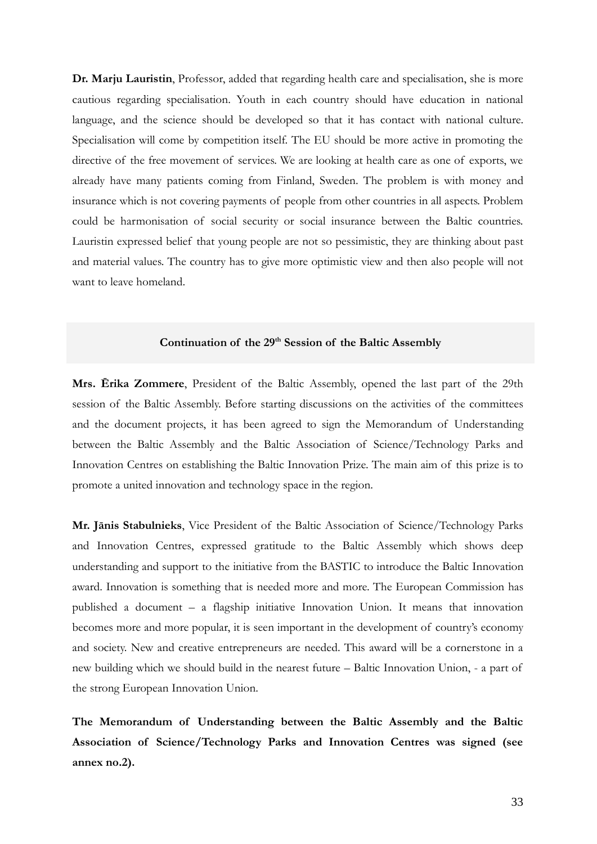**Dr. Marju Lauristin**, Professor, added that regarding health care and specialisation, she is more cautious regarding specialisation. Youth in each country should have education in national language, and the science should be developed so that it has contact with national culture. Specialisation will come by competition itself. The EU should be more active in promoting the directive of the free movement of services. We are looking at health care as one of exports, we already have many patients coming from Finland, Sweden. The problem is with money and insurance which is not covering payments of people from other countries in all aspects. Problem could be harmonisation of social security or social insurance between the Baltic countries. Lauristin expressed belief that young people are not so pessimistic, they are thinking about past and material values. The country has to give more optimistic view and then also people will not want to leave homeland.

### **Continuation of the 29th Session of the Baltic Assembly**

**Mrs. Ērika Zommere**, President of the Baltic Assembly, opened the last part of the 29th session of the Baltic Assembly. Before starting discussions on the activities of the committees and the document projects, it has been agreed to sign the Memorandum of Understanding between the Baltic Assembly and the Baltic Association of Science/Technology Parks and Innovation Centres on establishing the Baltic Innovation Prize. The main aim of this prize is to promote a united innovation and technology space in the region.

**Mr. Jānis Stabulnieks**, Vice President of the Baltic Association of Science/Technology Parks and Innovation Centres, expressed gratitude to the Baltic Assembly which shows deep understanding and support to the initiative from the BASTIC to introduce the Baltic Innovation award. Innovation is something that is needed more and more. The European Commission has published a document – a flagship initiative Innovation Union. It means that innovation becomes more and more popular, it is seen important in the development of country's economy and society. New and creative entrepreneurs are needed. This award will be a cornerstone in a new building which we should build in the nearest future – Baltic Innovation Union, - a part of the strong European Innovation Union.

**The Memorandum of Understanding between the Baltic Assembly and the Baltic Association of Science/Technology Parks and Innovation Centres was signed (see annex no.2).**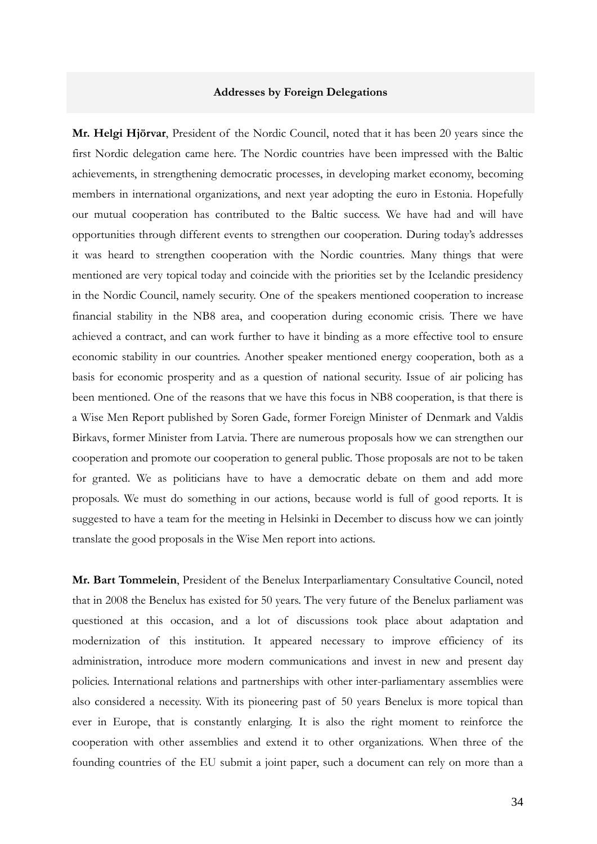#### **Addresses by Foreign Delegations**

**Mr. Helgi Hjörvar**, President of the Nordic Council, noted that it has been 20 years since the first Nordic delegation came here. The Nordic countries have been impressed with the Baltic achievements, in strengthening democratic processes, in developing market economy, becoming members in international organizations, and next year adopting the euro in Estonia. Hopefully our mutual cooperation has contributed to the Baltic success. We have had and will have opportunities through different events to strengthen our cooperation. During today's addresses it was heard to strengthen cooperation with the Nordic countries. Many things that were mentioned are very topical today and coincide with the priorities set by the Icelandic presidency in the Nordic Council, namely security. One of the speakers mentioned cooperation to increase financial stability in the NB8 area, and cooperation during economic crisis. There we have achieved a contract, and can work further to have it binding as a more effective tool to ensure economic stability in our countries. Another speaker mentioned energy cooperation, both as a basis for economic prosperity and as a question of national security. Issue of air policing has been mentioned. One of the reasons that we have this focus in NB8 cooperation, is that there is a Wise Men Report published by Soren Gade, former Foreign Minister of Denmark and Valdis Birkavs, former Minister from Latvia. There are numerous proposals how we can strengthen our cooperation and promote our cooperation to general public. Those proposals are not to be taken for granted. We as politicians have to have a democratic debate on them and add more proposals. We must do something in our actions, because world is full of good reports. It is suggested to have a team for the meeting in Helsinki in December to discuss how we can jointly translate the good proposals in the Wise Men report into actions.

**Mr. Bart Tommelein**, President of the Benelux Interparliamentary Consultative Council, noted that in 2008 the Benelux has existed for 50 years. The very future of the Benelux parliament was questioned at this occasion, and a lot of discussions took place about adaptation and modernization of this institution. It appeared necessary to improve efficiency of its administration, introduce more modern communications and invest in new and present day policies. International relations and partnerships with other inter-parliamentary assemblies were also considered a necessity. With its pioneering past of 50 years Benelux is more topical than ever in Europe, that is constantly enlarging. It is also the right moment to reinforce the cooperation with other assemblies and extend it to other organizations. When three of the founding countries of the EU submit a joint paper, such a document can rely on more than a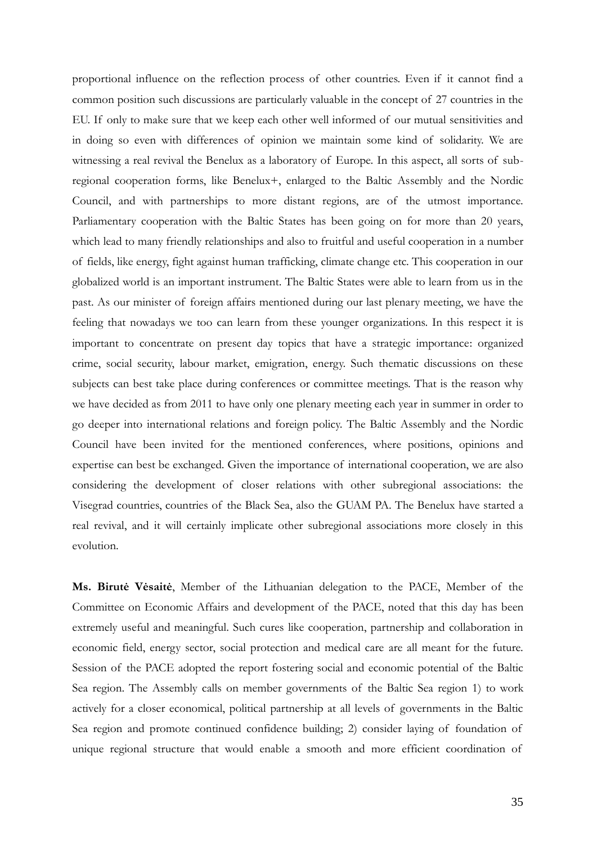proportional influence on the reflection process of other countries. Even if it cannot find a common position such discussions are particularly valuable in the concept of 27 countries in the EU. If only to make sure that we keep each other well informed of our mutual sensitivities and in doing so even with differences of opinion we maintain some kind of solidarity. We are witnessing a real revival the Benelux as a laboratory of Europe. In this aspect, all sorts of subregional cooperation forms, like Benelux+, enlarged to the Baltic Assembly and the Nordic Council, and with partnerships to more distant regions, are of the utmost importance. Parliamentary cooperation with the Baltic States has been going on for more than 20 years, which lead to many friendly relationships and also to fruitful and useful cooperation in a number of fields, like energy, fight against human trafficking, climate change etc. This cooperation in our globalized world is an important instrument. The Baltic States were able to learn from us in the past. As our minister of foreign affairs mentioned during our last plenary meeting, we have the feeling that nowadays we too can learn from these younger organizations. In this respect it is important to concentrate on present day topics that have a strategic importance: organized crime, social security, labour market, emigration, energy. Such thematic discussions on these subjects can best take place during conferences or committee meetings. That is the reason why we have decided as from 2011 to have only one plenary meeting each year in summer in order to go deeper into international relations and foreign policy. The Baltic Assembly and the Nordic Council have been invited for the mentioned conferences, where positions, opinions and expertise can best be exchanged. Given the importance of international cooperation, we are also considering the development of closer relations with other subregional associations: the Visegrad countries, countries of the Black Sea, also the GUAM PA. The Benelux have started a real revival, and it will certainly implicate other subregional associations more closely in this evolution.

**Ms. Birutė Vėsaitė**, Member of the Lithuanian delegation to the PACE, Member of the Committee on Economic Affairs and development of the PACE, noted that this day has been extremely useful and meaningful. Such cures like cooperation, partnership and collaboration in economic field, energy sector, social protection and medical care are all meant for the future. Session of the PACE adopted the report fostering social and economic potential of the Baltic Sea region. The Assembly calls on member governments of the Baltic Sea region 1) to work actively for a closer economical, political partnership at all levels of governments in the Baltic Sea region and promote continued confidence building; 2) consider laying of foundation of unique regional structure that would enable a smooth and more efficient coordination of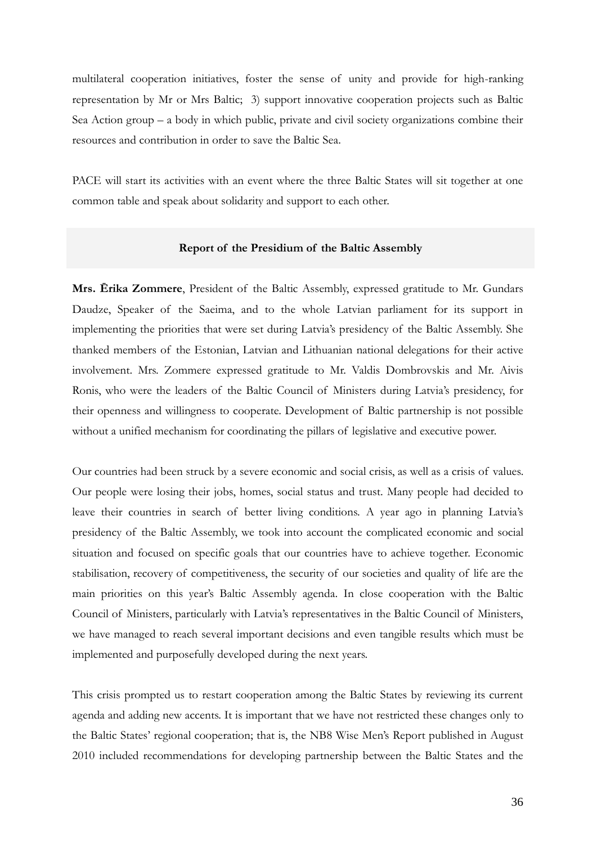multilateral cooperation initiatives, foster the sense of unity and provide for high-ranking representation by Mr or Mrs Baltic; 3) support innovative cooperation projects such as Baltic Sea Action group – a body in which public, private and civil society organizations combine their resources and contribution in order to save the Baltic Sea.

PACE will start its activities with an event where the three Baltic States will sit together at one common table and speak about solidarity and support to each other.

### **Report of the Presidium of the Baltic Assembly**

**Mrs. Ērika Zommere**, President of the Baltic Assembly, expressed gratitude to Mr. Gundars Daudze, Speaker of the Saeima, and to the whole Latvian parliament for its support in implementing the priorities that were set during Latvia's presidency of the Baltic Assembly. She thanked members of the Estonian, Latvian and Lithuanian national delegations for their active involvement. Mrs. Zommere expressed gratitude to Mr. Valdis Dombrovskis and Mr. Aivis Ronis, who were the leaders of the Baltic Council of Ministers during Latvia's presidency, for their openness and willingness to cooperate. Development of Baltic partnership is not possible without a unified mechanism for coordinating the pillars of legislative and executive power.

Our countries had been struck by a severe economic and social crisis, as well as a crisis of values. Our people were losing their jobs, homes, social status and trust. Many people had decided to leave their countries in search of better living conditions. A year ago in planning Latvia's presidency of the Baltic Assembly, we took into account the complicated economic and social situation and focused on specific goals that our countries have to achieve together. Economic stabilisation, recovery of competitiveness, the security of our societies and quality of life are the main priorities on this year's Baltic Assembly agenda. In close cooperation with the Baltic Council of Ministers, particularly with Latvia's representatives in the Baltic Council of Ministers, we have managed to reach several important decisions and even tangible results which must be implemented and purposefully developed during the next years.

This crisis prompted us to restart cooperation among the Baltic States by reviewing its current agenda and adding new accents. It is important that we have not restricted these changes only to the Baltic States' regional cooperation; that is, the NB8 Wise Men's Report published in August 2010 included recommendations for developing partnership between the Baltic States and the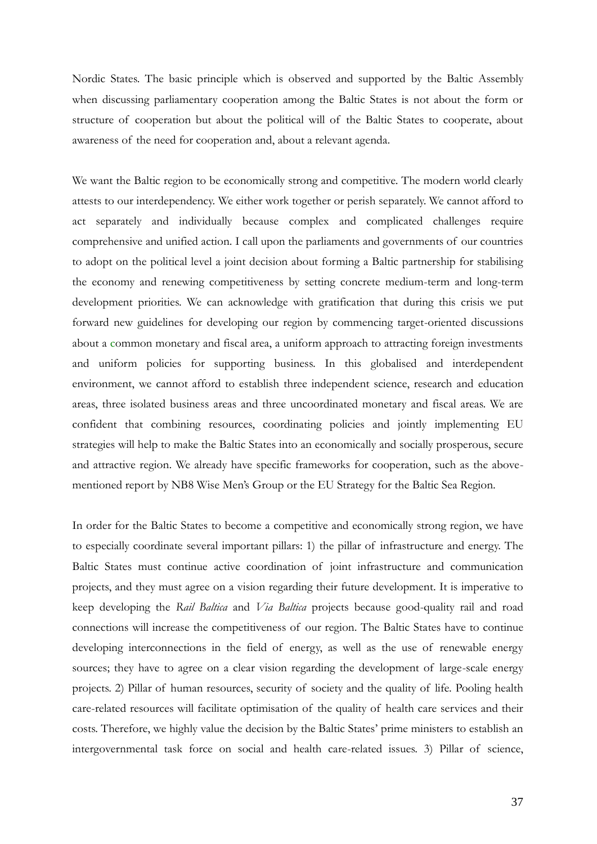Nordic States. The basic principle which is observed and supported by the Baltic Assembly when discussing parliamentary cooperation among the Baltic States is not about the form or structure of cooperation but about the political will of the Baltic States to cooperate, about awareness of the need for cooperation and, about a relevant agenda.

We want the Baltic region to be economically strong and competitive. The modern world clearly attests to our interdependency. We either work together or perish separately. We cannot afford to act separately and individually because complex and complicated challenges require comprehensive and unified action. I call upon the parliaments and governments of our countries to adopt on the political level a joint decision about forming a Baltic partnership for stabilising the economy and renewing competitiveness by setting concrete medium-term and long-term development priorities. We can acknowledge with gratification that during this crisis we put forward new guidelines for developing our region by commencing target-oriented discussions about a common monetary and fiscal area, a uniform approach to attracting foreign investments and uniform policies for supporting business. In this globalised and interdependent environment, we cannot afford to establish three independent science, research and education areas, three isolated business areas and three uncoordinated monetary and fiscal areas. We are confident that combining resources, coordinating policies and jointly implementing EU strategies will help to make the Baltic States into an economically and socially prosperous, secure and attractive region. We already have specific frameworks for cooperation, such as the abovementioned report by NB8 Wise Men's Group or the EU Strategy for the Baltic Sea Region.

In order for the Baltic States to become a competitive and economically strong region, we have to especially coordinate several important pillars: 1) the pillar of infrastructure and energy. The Baltic States must continue active coordination of joint infrastructure and communication projects, and they must agree on a vision regarding their future development. It is imperative to keep developing the *Rail Baltica* and *Via Baltica* projects because good-quality rail and road connections will increase the competitiveness of our region. The Baltic States have to continue developing interconnections in the field of energy, as well as the use of renewable energy sources; they have to agree on a clear vision regarding the development of large-scale energy projects. 2) Pillar of human resources, security of society and the quality of life. Pooling health care-related resources will facilitate optimisation of the quality of health care services and their costs. Therefore, we highly value the decision by the Baltic States' prime ministers to establish an intergovernmental task force on social and health care-related issues. 3) Pillar of science,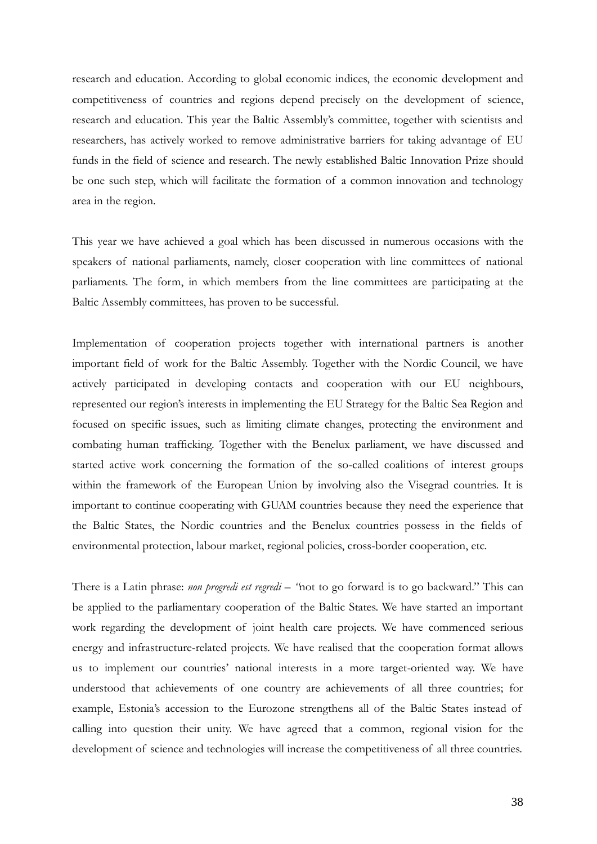research and education. According to global economic indices, the economic development and competitiveness of countries and regions depend precisely on the development of science, research and education. This year the Baltic Assembly's committee, together with scientists and researchers, has actively worked to remove administrative barriers for taking advantage of EU funds in the field of science and research. The newly established Baltic Innovation Prize should be one such step, which will facilitate the formation of a common innovation and technology area in the region.

This year we have achieved a goal which has been discussed in numerous occasions with the speakers of national parliaments, namely, closer cooperation with line committees of national parliaments. The form, in which members from the line committees are participating at the Baltic Assembly committees, has proven to be successful.

Implementation of cooperation projects together with international partners is another important field of work for the Baltic Assembly. Together with the Nordic Council, we have actively participated in developing contacts and cooperation with our EU neighbours, represented our region's interests in implementing the EU Strategy for the Baltic Sea Region and focused on specific issues, such as limiting climate changes, protecting the environment and combating human trafficking. Together with the Benelux parliament, we have discussed and started active work concerning the formation of the so-called coalitions of interest groups within the framework of the European Union by involving also the Visegrad countries. It is important to continue cooperating with GUAM countries because they need the experience that the Baltic States, the Nordic countries and the Benelux countries possess in the fields of environmental protection, labour market, regional policies, cross-border cooperation, etc.

There is a Latin phrase: *non progredi est regredi* – "not to go forward is to go backward." This can be applied to the parliamentary cooperation of the Baltic States. We have started an important work regarding the development of joint health care projects. We have commenced serious energy and infrastructure-related projects. We have realised that the cooperation format allows us to implement our countries' national interests in a more target-oriented way. We have understood that achievements of one country are achievements of all three countries; for example, Estonia's accession to the Eurozone strengthens all of the Baltic States instead of calling into question their unity. We have agreed that a common, regional vision for the development of science and technologies will increase the competitiveness of all three countries.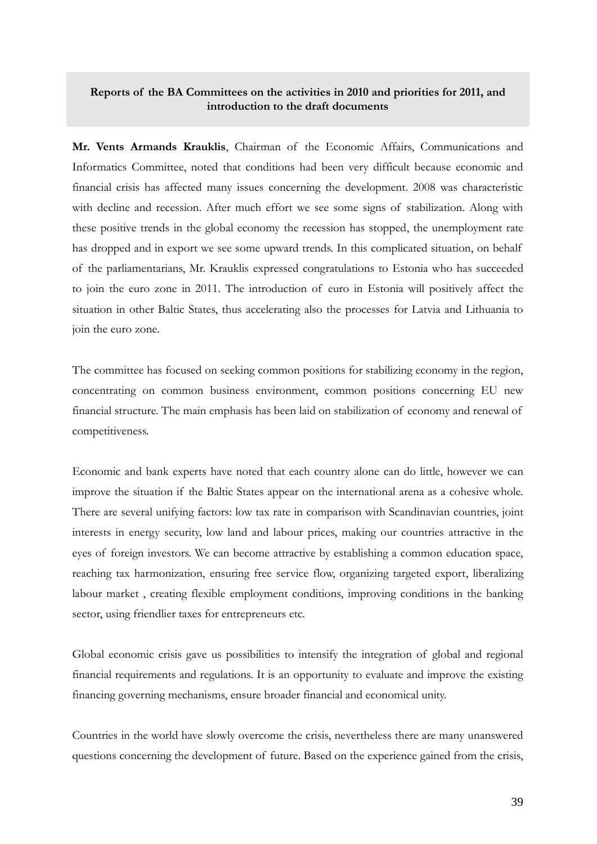## **Reports of the BA Committees on the activities in 2010 and priorities for 2011, and introduction to the draft documents**

**Mr. Vents Armands Krauklis**, Chairman of the Economic Affairs, Communications and Informatics Committee, noted that conditions had been very difficult because economic and financial crisis has affected many issues concerning the development. 2008 was characteristic with decline and recession. After much effort we see some signs of stabilization. Along with these positive trends in the global economy the recession has stopped, the unemployment rate has dropped and in export we see some upward trends. In this complicated situation, on behalf of the parliamentarians, Mr. Krauklis expressed congratulations to Estonia who has succeeded to join the euro zone in 2011. The introduction of euro in Estonia will positively affect the situation in other Baltic States, thus accelerating also the processes for Latvia and Lithuania to join the euro zone.

The committee has focused on seeking common positions for stabilizing economy in the region, concentrating on common business environment, common positions concerning EU new financial structure. The main emphasis has been laid on stabilization of economy and renewal of competitiveness.

Economic and bank experts have noted that each country alone can do little, however we can improve the situation if the Baltic States appear on the international arena as a cohesive whole. There are several unifying factors: low tax rate in comparison with Scandinavian countries, joint interests in energy security, low land and labour prices, making our countries attractive in the eyes of foreign investors. We can become attractive by establishing a common education space, reaching tax harmonization, ensuring free service flow, organizing targeted export, liberalizing labour market , creating flexible employment conditions, improving conditions in the banking sector, using friendlier taxes for entrepreneurs etc.

Global economic crisis gave us possibilities to intensify the integration of global and regional financial requirements and regulations. It is an opportunity to evaluate and improve the existing financing governing mechanisms, ensure broader financial and economical unity.

Countries in the world have slowly overcome the crisis, nevertheless there are many unanswered questions concerning the development of future. Based on the experience gained from the crisis,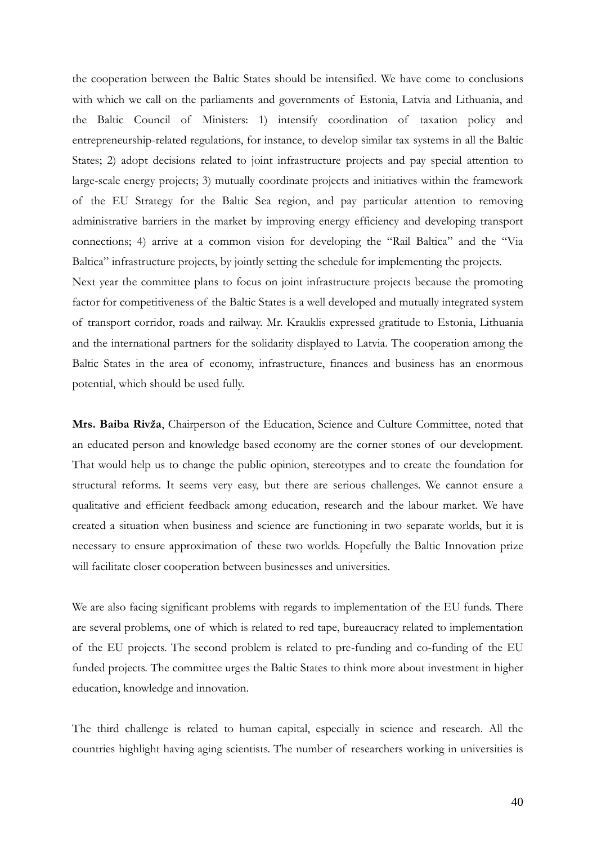the cooperation between the Baltic States should be intensified. We have come to conclusions with which we call on the parliaments and governments of Estonia, Latvia and Lithuania, and the Baltic Council of Ministers: 1) intensify coordination of taxation policy and entrepreneurship-related regulations, for instance, to develop similar tax systems in all the Baltic States; 2) adopt decisions related to joint infrastructure projects and pay special attention to large-scale energy projects; 3) mutually coordinate projects and initiatives within the framework of the EU Strategy for the Baltic Sea region, and pay particular attention to removing administrative barriers in the market by improving energy efficiency and developing transport connections; 4) arrive at a common vision for developing the "Rail Baltica" and the "Via Baltica" infrastructure projects, by jointly setting the schedule for implementing the projects. Next year the committee plans to focus on joint infrastructure projects because the promoting factor for competitiveness of the Baltic States is a well developed and mutually integrated system of transport corridor, roads and railway. Mr. Krauklis expressed gratitude to Estonia, Lithuania

and the international partners for the solidarity displayed to Latvia. The cooperation among the Baltic States in the area of economy, infrastructure, finances and business has an enormous potential, which should be used fully.

**Mrs. Baiba Rivža**, Chairperson of the Education, Science and Culture Committee, noted that an educated person and knowledge based economy are the corner stones of our development. That would help us to change the public opinion, stereotypes and to create the foundation for structural reforms. It seems very easy, but there are serious challenges. We cannot ensure a qualitative and efficient feedback among education, research and the labour market. We have created a situation when business and science are functioning in two separate worlds, but it is necessary to ensure approximation of these two worlds. Hopefully the Baltic Innovation prize will facilitate closer cooperation between businesses and universities.

We are also facing significant problems with regards to implementation of the EU funds. There are several problems, one of which is related to red tape, bureaucracy related to implementation of the EU projects. The second problem is related to pre-funding and co-funding of the EU funded projects. The committee urges the Baltic States to think more about investment in higher education, knowledge and innovation.

The third challenge is related to human capital, especially in science and research. All the countries highlight having aging scientists. The number of researchers working in universities is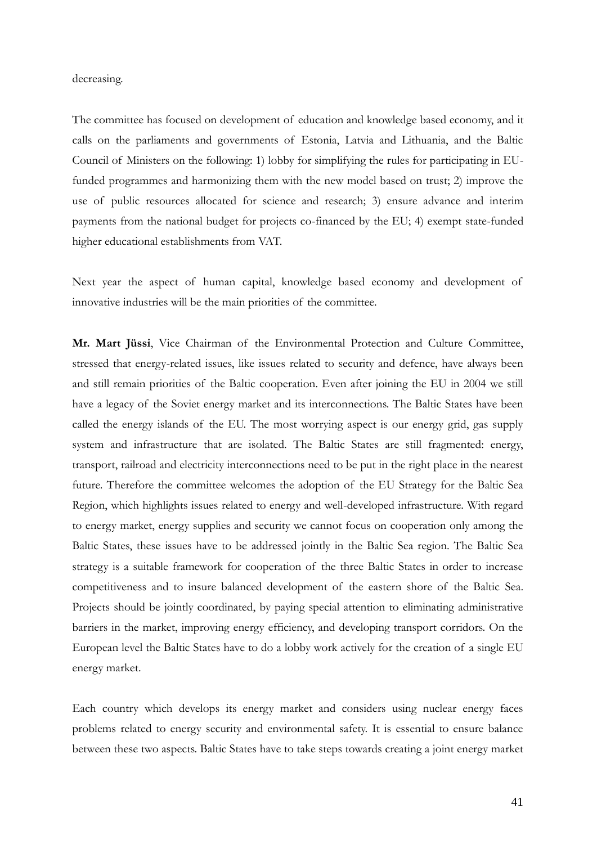#### decreasing.

The committee has focused on development of education and knowledge based economy, and it calls on the parliaments and governments of Estonia, Latvia and Lithuania, and the Baltic Council of Ministers on the following: 1) lobby for simplifying the rules for participating in EUfunded programmes and harmonizing them with the new model based on trust; 2) improve the use of public resources allocated for science and research; 3) ensure advance and interim payments from the national budget for projects co-financed by the EU; 4) exempt state-funded higher educational establishments from VAT.

Next year the aspect of human capital, knowledge based economy and development of innovative industries will be the main priorities of the committee.

**Mr. Mart Jüssi**, Vice Chairman of the Environmental Protection and Culture Committee, stressed that energy-related issues, like issues related to security and defence, have always been and still remain priorities of the Baltic cooperation. Even after joining the EU in 2004 we still have a legacy of the Soviet energy market and its interconnections. The Baltic States have been called the energy islands of the EU. The most worrying aspect is our energy grid, gas supply system and infrastructure that are isolated. The Baltic States are still fragmented: energy, transport, railroad and electricity interconnections need to be put in the right place in the nearest future. Therefore the committee welcomes the adoption of the EU Strategy for the Baltic Sea Region, which highlights issues related to energy and well-developed infrastructure. With regard to energy market, energy supplies and security we cannot focus on cooperation only among the Baltic States, these issues have to be addressed jointly in the Baltic Sea region. The Baltic Sea strategy is a suitable framework for cooperation of the three Baltic States in order to increase competitiveness and to insure balanced development of the eastern shore of the Baltic Sea. Projects should be jointly coordinated, by paying special attention to eliminating administrative barriers in the market, improving energy efficiency, and developing transport corridors. On the European level the Baltic States have to do a lobby work actively for the creation of a single EU energy market.

Each country which develops its energy market and considers using nuclear energy faces problems related to energy security and environmental safety. It is essential to ensure balance between these two aspects. Baltic States have to take steps towards creating a joint energy market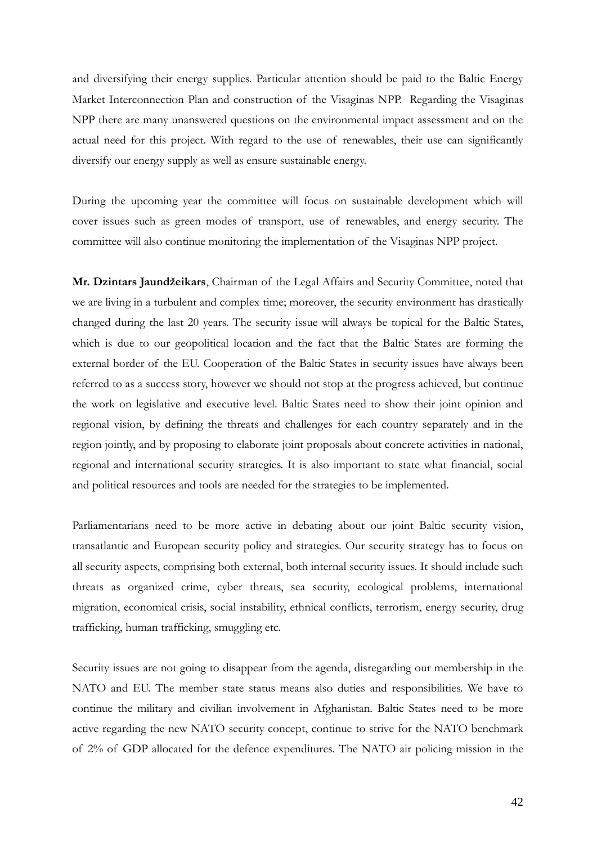and diversifying their energy supplies. Particular attention should be paid to the Baltic Energy Market Interconnection Plan and construction of the Visaginas NPP. Regarding the Visaginas NPP there are many unanswered questions on the environmental impact assessment and on the actual need for this project. With regard to the use of renewables, their use can significantly diversify our energy supply as well as ensure sustainable energy.

During the upcoming year the committee will focus on sustainable development which will cover issues such as green modes of transport, use of renewables, and energy security. The committee will also continue monitoring the implementation of the Visaginas NPP project.

**Mr. Dzintars Jaundžeikars**, Chairman of the Legal Affairs and Security Committee, noted that we are living in a turbulent and complex time; moreover, the security environment has drastically changed during the last 20 years. The security issue will always be topical for the Baltic States, which is due to our geopolitical location and the fact that the Baltic States are forming the external border of the EU. Cooperation of the Baltic States in security issues have always been referred to as a success story, however we should not stop at the progress achieved, but continue the work on legislative and executive level. Baltic States need to show their joint opinion and regional vision, by defining the threats and challenges for each country separately and in the region jointly, and by proposing to elaborate joint proposals about concrete activities in national, regional and international security strategies. It is also important to state what financial, social and political resources and tools are needed for the strategies to be implemented.

Parliamentarians need to be more active in debating about our joint Baltic security vision, transatlantic and European security policy and strategies. Our security strategy has to focus on all security aspects, comprising both external, both internal security issues. It should include such threats as organized crime, cyber threats, sea security, ecological problems, international migration, economical crisis, social instability, ethnical conflicts, terrorism, energy security, drug trafficking, human trafficking, smuggling etc.

Security issues are not going to disappear from the agenda, disregarding our membership in the NATO and EU. The member state status means also duties and responsibilities. We have to continue the military and civilian involvement in Afghanistan. Baltic States need to be more active regarding the new NATO security concept, continue to strive for the NATO benchmark of 2% of GDP allocated for the defence expenditures. The NATO air policing mission in the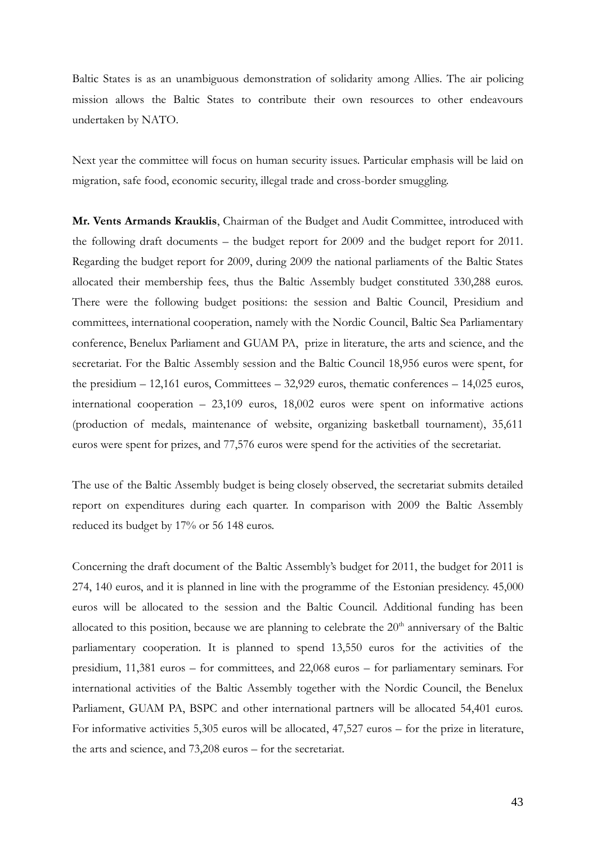Baltic States is as an unambiguous demonstration of solidarity among Allies. The air policing mission allows the Baltic States to contribute their own resources to other endeavours undertaken by NATO.

Next year the committee will focus on human security issues. Particular emphasis will be laid on migration, safe food, economic security, illegal trade and cross-border smuggling.

**Mr. Vents Armands Krauklis**, Chairman of the Budget and Audit Committee, introduced with the following draft documents – the budget report for 2009 and the budget report for 2011. Regarding the budget report for 2009, during 2009 the national parliaments of the Baltic States allocated their membership fees, thus the Baltic Assembly budget constituted 330,288 euros. There were the following budget positions: the session and Baltic Council, Presidium and committees, international cooperation, namely with the Nordic Council, Baltic Sea Parliamentary conference, Benelux Parliament and GUAM PA, prize in literature, the arts and science, and the secretariat. For the Baltic Assembly session and the Baltic Council 18,956 euros were spent, for the presidium – 12,161 euros, Committees – 32,929 euros, thematic conferences – 14,025 euros, international cooperation – 23,109 euros, 18,002 euros were spent on informative actions (production of medals, maintenance of website, organizing basketball tournament), 35,611 euros were spent for prizes, and 77,576 euros were spend for the activities of the secretariat.

The use of the Baltic Assembly budget is being closely observed, the secretariat submits detailed report on expenditures during each quarter. In comparison with 2009 the Baltic Assembly reduced its budget by 17% or 56 148 euros.

Concerning the draft document of the Baltic Assembly's budget for 2011, the budget for 2011 is 274, 140 euros, and it is planned in line with the programme of the Estonian presidency. 45,000 euros will be allocated to the session and the Baltic Council. Additional funding has been allocated to this position, because we are planning to celebrate the  $20<sup>th</sup>$  anniversary of the Baltic parliamentary cooperation. It is planned to spend 13,550 euros for the activities of the presidium, 11,381 euros – for committees, and 22,068 euros – for parliamentary seminars. For international activities of the Baltic Assembly together with the Nordic Council, the Benelux Parliament, GUAM PA, BSPC and other international partners will be allocated 54,401 euros. For informative activities 5,305 euros will be allocated, 47,527 euros – for the prize in literature, the arts and science, and 73,208 euros – for the secretariat.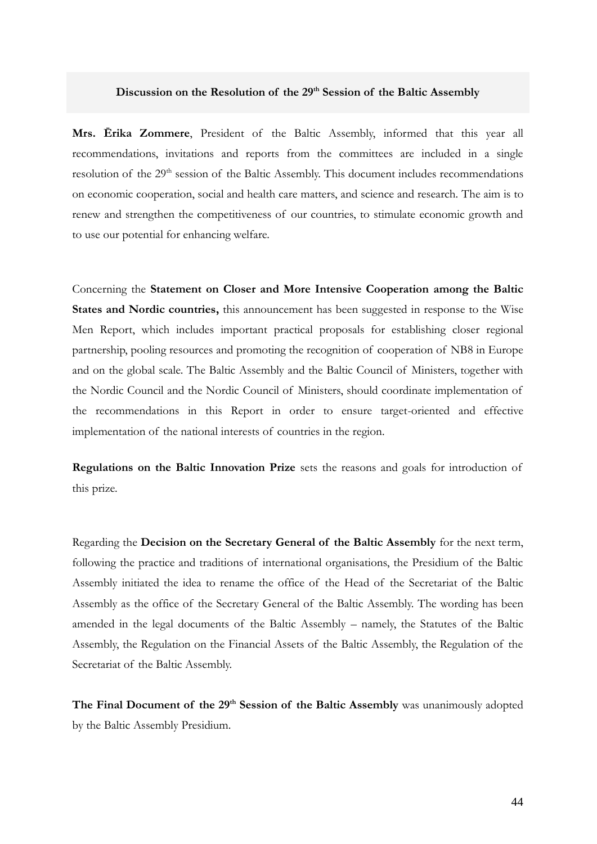#### **Discussion on the Resolution of the 29th Session of the Baltic Assembly**

**Mrs. Ērika Zommere**, President of the Baltic Assembly, informed that this year all recommendations, invitations and reports from the committees are included in a single resolution of the 29<sup>th</sup> session of the Baltic Assembly. This document includes recommendations on economic cooperation, social and health care matters, and science and research. The aim is to renew and strengthen the competitiveness of our countries, to stimulate economic growth and to use our potential for enhancing welfare.

Concerning the **Statement on Closer and More Intensive Cooperation among the Baltic States and Nordic countries,** this announcement has been suggested in response to the Wise Men Report, which includes important practical proposals for establishing closer regional partnership, pooling resources and promoting the recognition of cooperation of NB8 in Europe and on the global scale. The Baltic Assembly and the Baltic Council of Ministers, together with the Nordic Council and the Nordic Council of Ministers, should coordinate implementation of the recommendations in this Report in order to ensure target-oriented and effective implementation of the national interests of countries in the region.

**Regulations on the Baltic Innovation Prize** sets the reasons and goals for introduction of this prize.

Regarding the **Decision on the Secretary General of the Baltic Assembly** for the next term, following the practice and traditions of international organisations, the Presidium of the Baltic Assembly initiated the idea to rename the office of the Head of the Secretariat of the Baltic Assembly as the office of the Secretary General of the Baltic Assembly. The wording has been amended in the legal documents of the Baltic Assembly – namely, the Statutes of the Baltic Assembly, the Regulation on the Financial Assets of the Baltic Assembly, the Regulation of the Secretariat of the Baltic Assembly.

**The Final Document of the 29th Session of the Baltic Assembly** was unanimously adopted by the Baltic Assembly Presidium.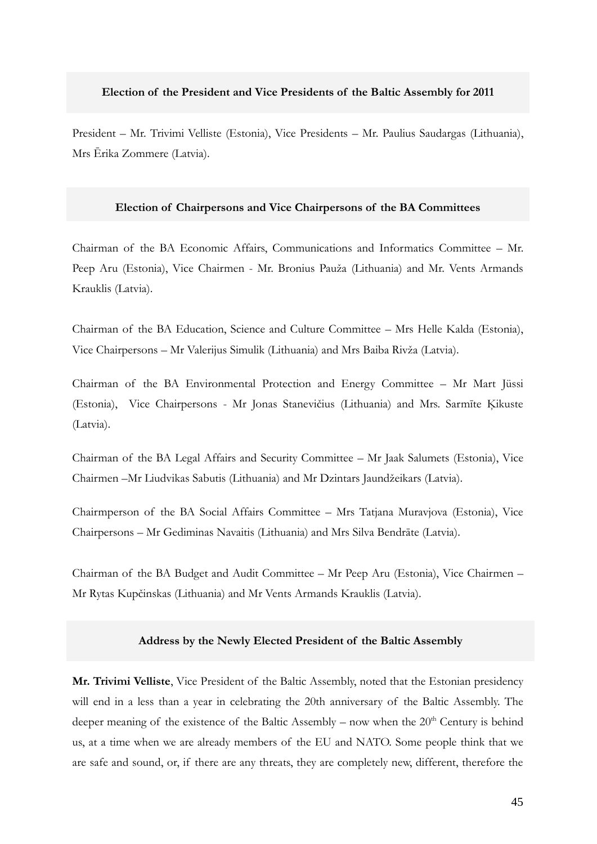## **Election of the President and Vice Presidents of the Baltic Assembly for 2011**

President – Mr. Trivimi Velliste (Estonia), Vice Presidents – Mr. Paulius Saudargas (Lithuania), Mrs Ērika Zommere (Latvia).

#### **Election of Chairpersons and Vice Chairpersons of the BA Committees**

Chairman of the BA Economic Affairs, Communications and Informatics Committee – Mr. Peep Aru (Estonia), Vice Chairmen - Mr. Bronius Pauža (Lithuania) and Mr. Vents Armands Krauklis (Latvia).

Chairman of the BA Education, Science and Culture Committee – Mrs Helle Kalda (Estonia), Vice Chairpersons – Mr Valerijus Simulik (Lithuania) and Mrs Baiba Rivža (Latvia).

Chairman of the BA Environmental Protection and Energy Committee – Mr Mart Jüssi (Estonia), Vice Chairpersons - Mr Jonas Stanevičius (Lithuania) and Mrs. Sarmīte Ķikuste (Latvia).

Chairman of the BA Legal Affairs and Security Committee – Mr Jaak Salumets (Estonia), Vice Chairmen –Mr Liudvikas Sabutis (Lithuania) and Mr Dzintars Jaundžeikars (Latvia).

Chairmperson of the BA Social Affairs Committee – Mrs Tatjana Muravjova (Estonia), Vice Chairpersons – Mr Gediminas Navaitis (Lithuania) and Mrs Silva Bendrāte (Latvia).

Chairman of the BA Budget and Audit Committee – Mr Peep Aru (Estonia), Vice Chairmen – Mr Rytas Kupčinskas (Lithuania) and Mr Vents Armands Krauklis (Latvia).

#### **Address by the Newly Elected President of the Baltic Assembly**

**Mr. Trivimi Velliste**, Vice President of the Baltic Assembly, noted that the Estonian presidency will end in a less than a year in celebrating the 20th anniversary of the Baltic Assembly. The deeper meaning of the existence of the Baltic Assembly – now when the  $20<sup>th</sup>$  Century is behind us, at a time when we are already members of the EU and NATO. Some people think that we are safe and sound, or, if there are any threats, they are completely new, different, therefore the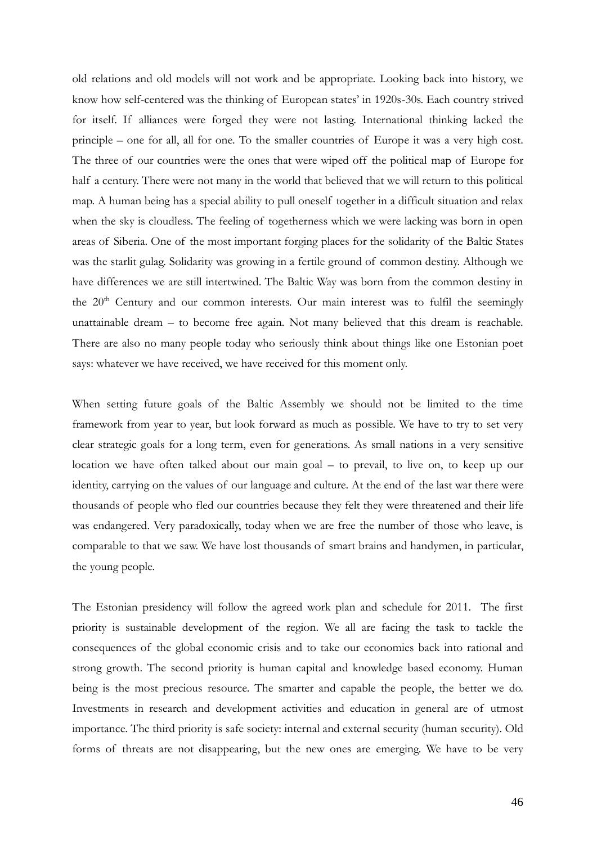old relations and old models will not work and be appropriate. Looking back into history, we know how self-centered was the thinking of European states' in 1920s-30s. Each country strived for itself. If alliances were forged they were not lasting. International thinking lacked the principle – one for all, all for one. To the smaller countries of Europe it was a very high cost. The three of our countries were the ones that were wiped off the political map of Europe for half a century. There were not many in the world that believed that we will return to this political map. A human being has a special ability to pull oneself together in a difficult situation and relax when the sky is cloudless. The feeling of togetherness which we were lacking was born in open areas of Siberia. One of the most important forging places for the solidarity of the Baltic States was the starlit gulag. Solidarity was growing in a fertile ground of common destiny. Although we have differences we are still intertwined. The Baltic Way was born from the common destiny in the  $20<sup>th</sup>$  Century and our common interests. Our main interest was to fulfil the seemingly unattainable dream – to become free again. Not many believed that this dream is reachable. There are also no many people today who seriously think about things like one Estonian poet says: whatever we have received, we have received for this moment only.

When setting future goals of the Baltic Assembly we should not be limited to the time framework from year to year, but look forward as much as possible. We have to try to set very clear strategic goals for a long term, even for generations. As small nations in a very sensitive location we have often talked about our main goal – to prevail, to live on, to keep up our identity, carrying on the values of our language and culture. At the end of the last war there were thousands of people who fled our countries because they felt they were threatened and their life was endangered. Very paradoxically, today when we are free the number of those who leave, is comparable to that we saw. We have lost thousands of smart brains and handymen, in particular, the young people.

The Estonian presidency will follow the agreed work plan and schedule for 2011. The first priority is sustainable development of the region. We all are facing the task to tackle the consequences of the global economic crisis and to take our economies back into rational and strong growth. The second priority is human capital and knowledge based economy. Human being is the most precious resource. The smarter and capable the people, the better we do. Investments in research and development activities and education in general are of utmost importance. The third priority is safe society: internal and external security (human security). Old forms of threats are not disappearing, but the new ones are emerging. We have to be very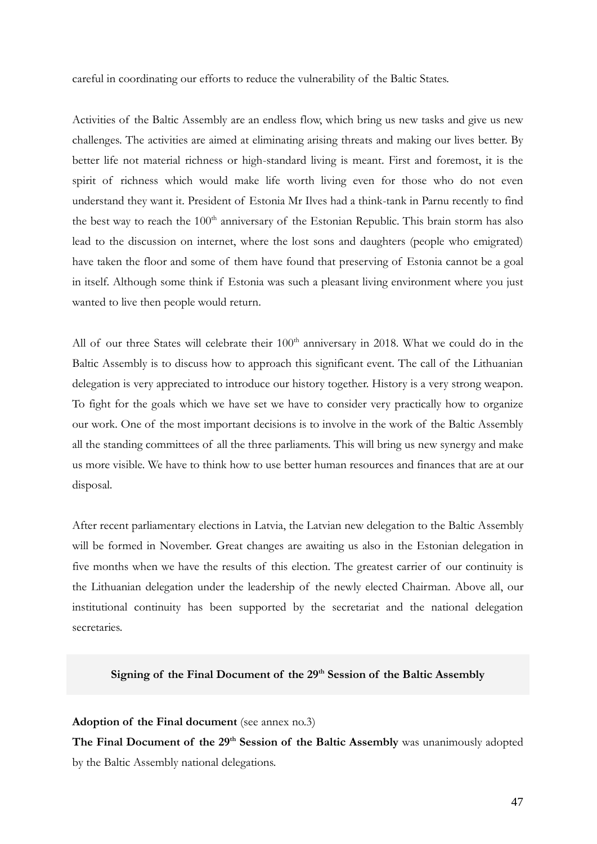careful in coordinating our efforts to reduce the vulnerability of the Baltic States.

Activities of the Baltic Assembly are an endless flow, which bring us new tasks and give us new challenges. The activities are aimed at eliminating arising threats and making our lives better. By better life not material richness or high-standard living is meant. First and foremost, it is the spirit of richness which would make life worth living even for those who do not even understand they want it. President of Estonia Mr Ilves had a think-tank in Parnu recently to find the best way to reach the  $100<sup>th</sup>$  anniversary of the Estonian Republic. This brain storm has also lead to the discussion on internet, where the lost sons and daughters (people who emigrated) have taken the floor and some of them have found that preserving of Estonia cannot be a goal in itself. Although some think if Estonia was such a pleasant living environment where you just wanted to live then people would return.

All of our three States will celebrate their  $100<sup>th</sup>$  anniversary in 2018. What we could do in the Baltic Assembly is to discuss how to approach this significant event. The call of the Lithuanian delegation is very appreciated to introduce our history together. History is a very strong weapon. To fight for the goals which we have set we have to consider very practically how to organize our work. One of the most important decisions is to involve in the work of the Baltic Assembly all the standing committees of all the three parliaments. This will bring us new synergy and make us more visible. We have to think how to use better human resources and finances that are at our disposal.

After recent parliamentary elections in Latvia, the Latvian new delegation to the Baltic Assembly will be formed in November. Great changes are awaiting us also in the Estonian delegation in five months when we have the results of this election. The greatest carrier of our continuity is the Lithuanian delegation under the leadership of the newly elected Chairman. Above all, our institutional continuity has been supported by the secretariat and the national delegation secretaries.

# **Signing of the Final Document of the 29th Session of the Baltic Assembly**

#### **Adoption of the Final document** (see annex no.3)

**The Final Document of the 29th Session of the Baltic Assembly** was unanimously adopted by the Baltic Assembly national delegations.